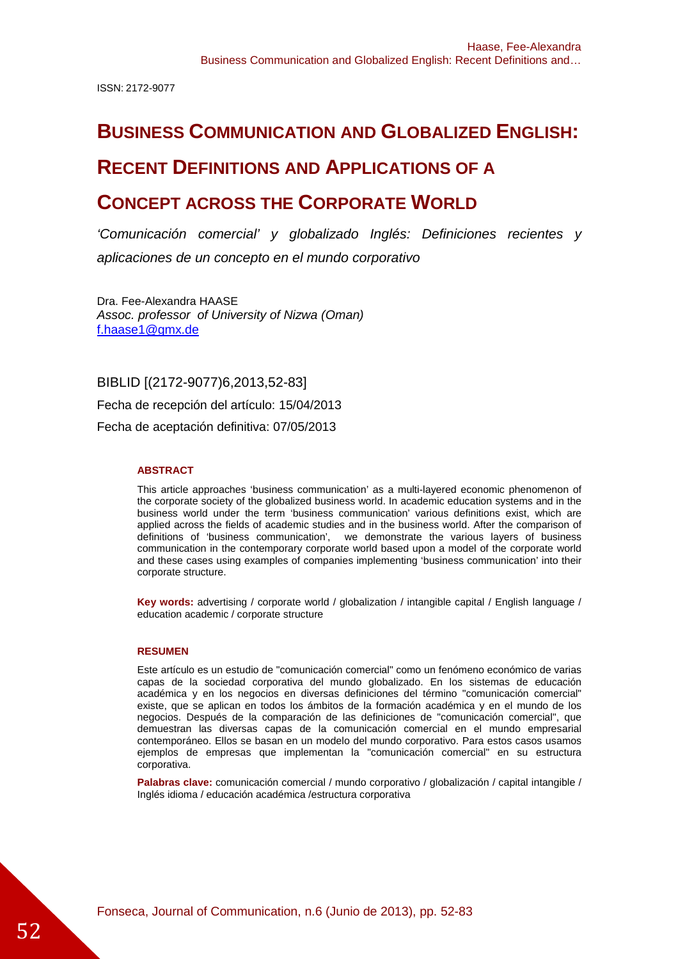ISSN: 2172-9077

# **BUSINESS COMMUNICATION AND GLOBALIZED ENGLISH:**

# **RECENT DEFINITIONS AND APPLICATIONS OF A**

# **CONCEPT ACROSS THE CORPORATE WORLD**

'Comunicación comercial' y globalizado Inglés: Definiciones recientes y aplicaciones de un concepto en el mundo corporativo

Dra. Fee-Alexandra HAASE Assoc. professor of University of Nizwa (Oman) f.haase1@gmx.de

BIBLID [(2172-9077)6,2013,52-83] Fecha de recepción del artículo: 15/04/2013 Fecha de aceptación definitiva: 07/05/2013

#### **ABSTRACT**

This article approaches 'business communication' as a multi-layered economic phenomenon of the corporate society of the globalized business world. In academic education systems and in the business world under the term 'business communication' various definitions exist, which are applied across the fields of academic studies and in the business world. After the comparison of definitions of 'business communication', we demonstrate the various layers of business communication in the contemporary corporate world based upon a model of the corporate world and these cases using examples of companies implementing 'business communication' into their corporate structure.

**Key words:** advertising / corporate world / globalization / intangible capital / English language / education academic / corporate structure

#### **RESUMEN**

Este artículo es un estudio de "comunicación comercial" como un fenómeno económico de varias capas de la sociedad corporativa del mundo globalizado. En los sistemas de educación académica y en los negocios en diversas definiciones del término "comunicación comercial" existe, que se aplican en todos los ámbitos de la formación académica y en el mundo de los negocios. Después de la comparación de las definiciones de "comunicación comercial", que demuestran las diversas capas de la comunicación comercial en el mundo empresarial contemporáneo. Ellos se basan en un modelo del mundo corporativo. Para estos casos usamos ejemplos de empresas que implementan la "comunicación comercial" en su estructura corporativa.

**Palabras clave:** comunicación comercial / mundo corporativo / globalización / capital intangible / Inglés idioma / educación académica /estructura corporativa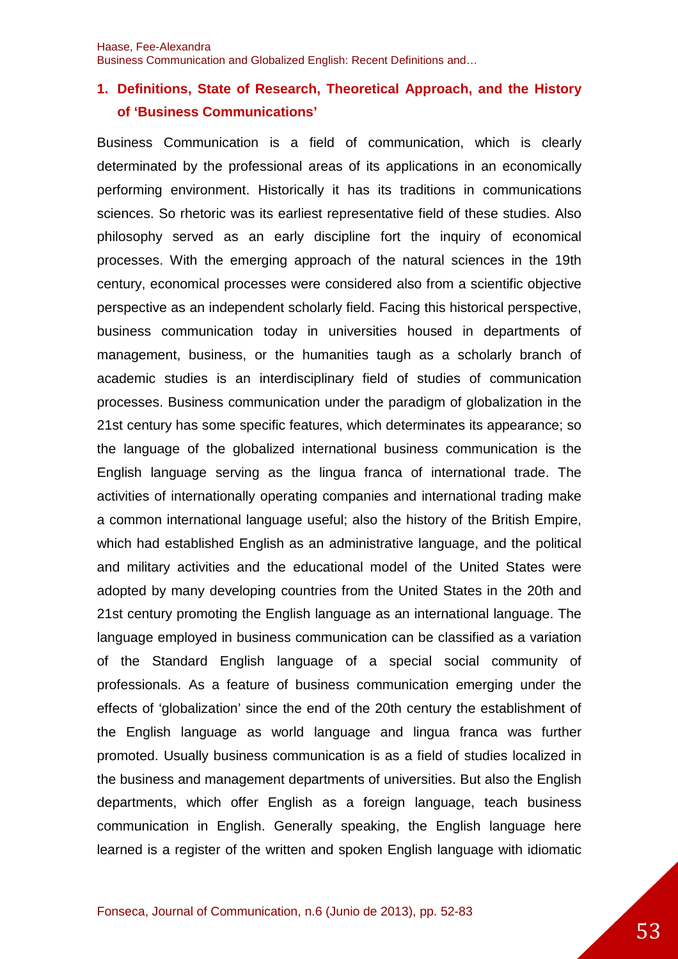# **1. Definitions, State of Research, Theoretical Approach, and the History of 'Business Communications'**

Business Communication is a field of communication, which is clearly determinated by the professional areas of its applications in an economically performing environment. Historically it has its traditions in communications sciences. So rhetoric was its earliest representative field of these studies. Also philosophy served as an early discipline fort the inquiry of economical processes. With the emerging approach of the natural sciences in the 19th century, economical processes were considered also from a scientific objective perspective as an independent scholarly field. Facing this historical perspective, business communication today in universities housed in departments of management, business, or the humanities taugh as a scholarly branch of academic studies is an interdisciplinary field of studies of communication processes. Business communication under the paradigm of globalization in the 21st century has some specific features, which determinates its appearance; so the language of the globalized international business communication is the English language serving as the lingua franca of international trade. The activities of internationally operating companies and international trading make a common international language useful; also the history of the British Empire, which had established English as an administrative language, and the political and military activities and the educational model of the United States were adopted by many developing countries from the United States in the 20th and 21st century promoting the English language as an international language. The language employed in business communication can be classified as a variation of the Standard English language of a special social community of professionals. As a feature of business communication emerging under the effects of 'globalization' since the end of the 20th century the establishment of the English language as world language and lingua franca was further promoted. Usually business communication is as a field of studies localized in the business and management departments of universities. But also the English departments, which offer English as a foreign language, teach business communication in English. Generally speaking, the English language here learned is a register of the written and spoken English language with idiomatic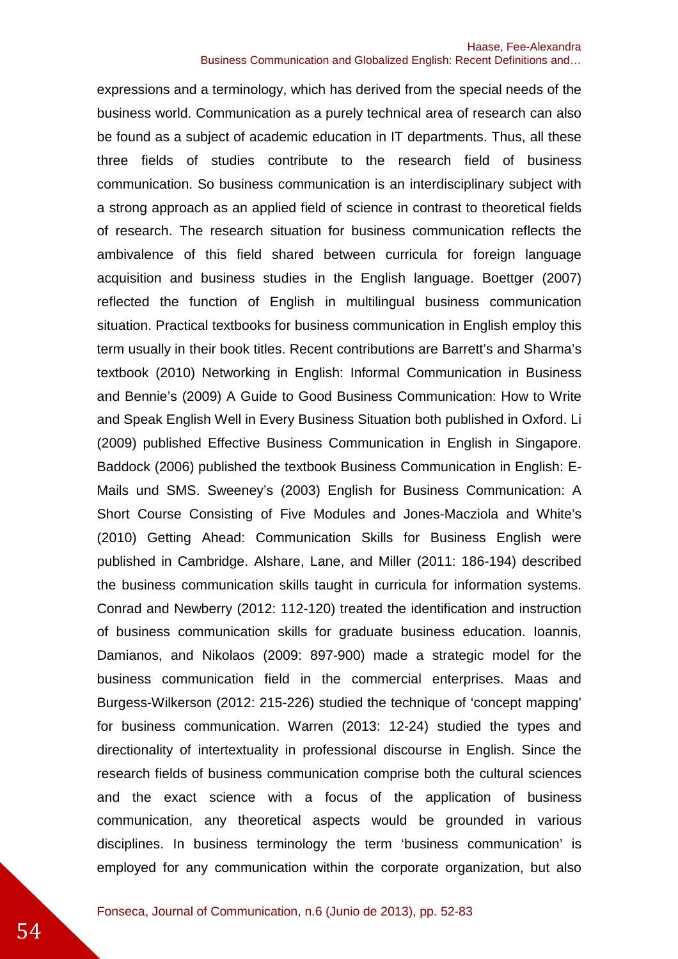expressions and a terminology, which has derived from the special needs of the business world. Communication as a purely technical area of research can also be found as a subject of academic education in IT departments. Thus, all these three fields of studies contribute to the research field of business communication. So business communication is an interdisciplinary subject with a strong approach as an applied field of science in contrast to theoretical fields of research. The research situation for business communication reflects the ambivalence of this field shared between curricula for foreign language acquisition and business studies in the English language. Boettger (2007) reflected the function of English in multilingual business communication situation. Practical textbooks for business communication in English employ this term usually in their book titles. Recent contributions are Barrett's and Sharma's textbook (2010) Networking in English: Informal Communication in Business and Bennie's (2009) A Guide to Good Business Communication: How to Write and Speak English Well in Every Business Situation both published in Oxford. Li (2009) published Effective Business Communication in English in Singapore. Baddock (2006) published the textbook Business Communication in English: E-Mails und SMS. Sweeney's (2003) English for Business Communication: A Short Course Consisting of Five Modules and Jones-Macziola and White's (2010) Getting Ahead: Communication Skills for Business English were published in Cambridge. Alshare, Lane, and Miller (2011: 186-194) described the business communication skills taught in curricula for information systems. Conrad and Newberry (2012: 112-120) treated the identification and instruction of business communication skills for graduate business education. Ioannis, Damianos, and Nikolaos (2009: 897-900) made a strategic model for the business communication field in the commercial enterprises. Maas and Burgess-Wilkerson (2012: 215-226) studied the technique of 'concept mapping' for business communication. Warren (2013: 12-24) studied the types and directionality of intertextuality in professional discourse in English. Since the research fields of business communication comprise both the cultural sciences and the exact science with a focus of the application of business communication, any theoretical aspects would be grounded in various disciplines. In business terminology the term 'business communication' is employed for any communication within the corporate organization, but also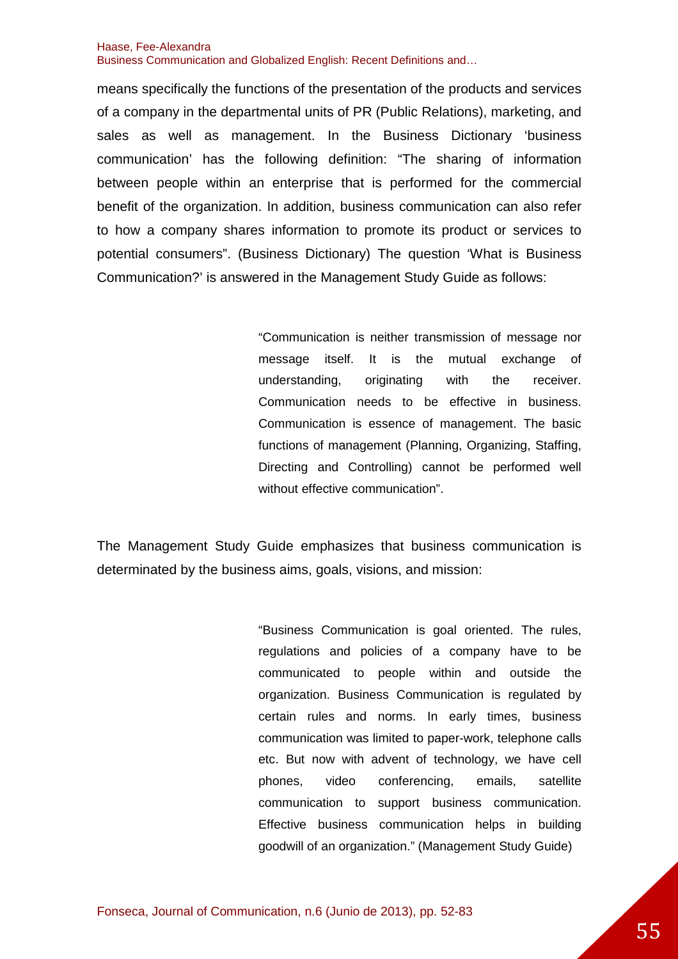means specifically the functions of the presentation of the products and services of a company in the departmental units of PR (Public Relations), marketing, and sales as well as management. In the Business Dictionary 'business communication' has the following definition: "The sharing of information between people within an enterprise that is performed for the commercial benefit of the organization. In addition, business communication can also refer to how a company shares information to promote its product or services to potential consumers". (Business Dictionary) The question 'What is Business Communication?' is answered in the Management Study Guide as follows:

> "Communication is neither transmission of message nor message itself. It is the mutual exchange of understanding, originating with the receiver. Communication needs to be effective in business. Communication is essence of management. The basic functions of management (Planning, Organizing, Staffing, Directing and Controlling) cannot be performed well without effective communication".

The Management Study Guide emphasizes that business communication is determinated by the business aims, goals, visions, and mission:

> "Business Communication is goal oriented. The rules, regulations and policies of a company have to be communicated to people within and outside the organization. Business Communication is regulated by certain rules and norms. In early times, business communication was limited to paper-work, telephone calls etc. But now with advent of technology, we have cell phones, video conferencing, emails, satellite communication to support business communication. Effective business communication helps in building goodwill of an organization." (Management Study Guide)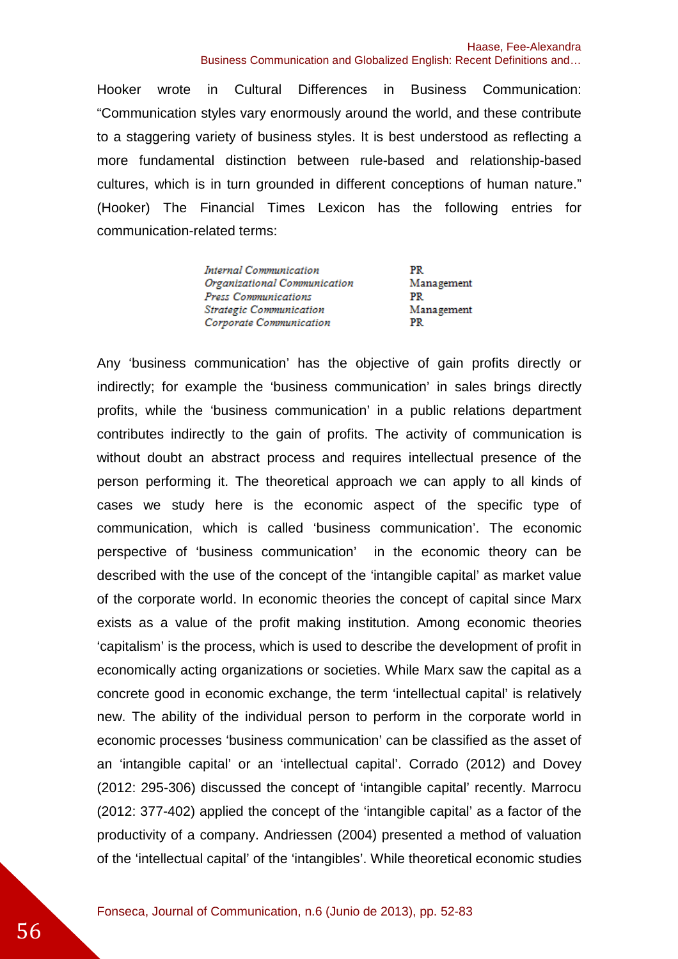Hooker wrote in Cultural Differences in Business Communication: "Communication styles vary enormously around the world, and these contribute to a staggering variety of business styles. It is best understood as reflecting a more fundamental distinction between rule-based and relationship-based cultures, which is in turn grounded in different conceptions of human nature." (Hooker) The Financial Times Lexicon has the following entries for communication-related terms:

| Internal Communication         | PR.        |
|--------------------------------|------------|
| Organizational Communication   | Management |
| Press Communications           | PR.        |
| <b>Strategic Communication</b> | Management |
| Corporate Communication        | PR         |

Any 'business communication' has the objective of gain profits directly or indirectly; for example the 'business communication' in sales brings directly profits, while the 'business communication' in a public relations department contributes indirectly to the gain of profits. The activity of communication is without doubt an abstract process and requires intellectual presence of the person performing it. The theoretical approach we can apply to all kinds of cases we study here is the economic aspect of the specific type of communication, which is called 'business communication'. The economic perspective of 'business communication' in the economic theory can be described with the use of the concept of the 'intangible capital' as market value of the corporate world. In economic theories the concept of capital since Marx exists as a value of the profit making institution. Among economic theories 'capitalism' is the process, which is used to describe the development of profit in economically acting organizations or societies. While Marx saw the capital as a concrete good in economic exchange, the term 'intellectual capital' is relatively new. The ability of the individual person to perform in the corporate world in economic processes 'business communication' can be classified as the asset of an 'intangible capital' or an 'intellectual capital'. Corrado (2012) and Dovey (2012: 295-306) discussed the concept of 'intangible capital' recently. Marrocu (2012: 377-402) applied the concept of the 'intangible capital' as a factor of the productivity of a company. Andriessen (2004) presented a method of valuation of the 'intellectual capital' of the 'intangibles'. While theoretical economic studies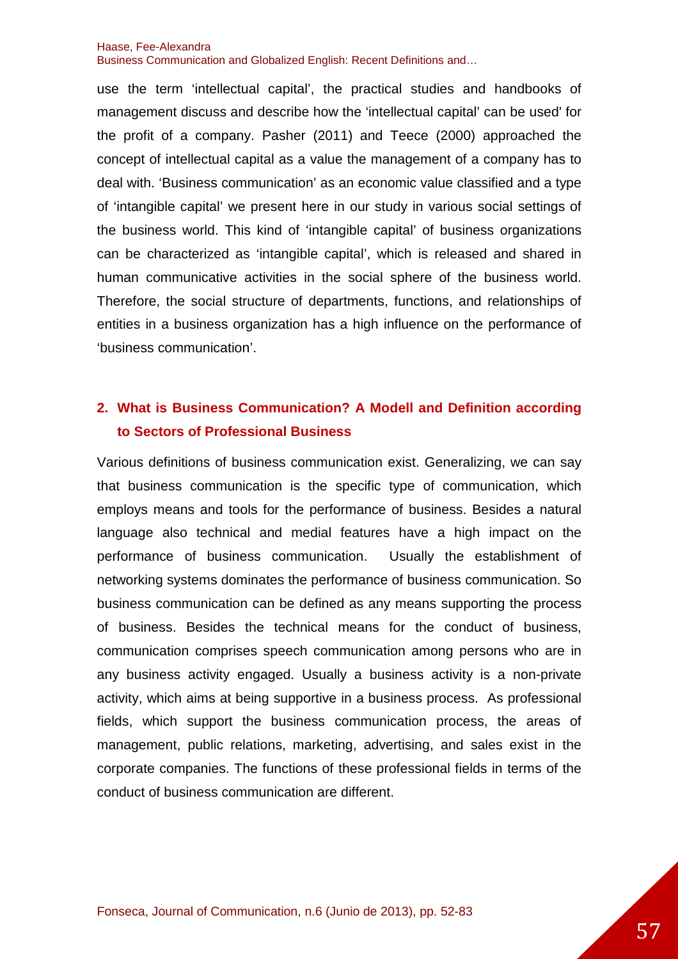use the term 'intellectual capital', the practical studies and handbooks of management discuss and describe how the 'intellectual capital' can be used' for the profit of a company. Pasher (2011) and Teece (2000) approached the concept of intellectual capital as a value the management of a company has to deal with. 'Business communication' as an economic value classified and a type of 'intangible capital' we present here in our study in various social settings of the business world. This kind of 'intangible capital' of business organizations can be characterized as 'intangible capital', which is released and shared in human communicative activities in the social sphere of the business world. Therefore, the social structure of departments, functions, and relationships of entities in a business organization has a high influence on the performance of 'business communication'.

# **2. What is Business Communication? A Modell and Definition according to Sectors of Professional Business**

Various definitions of business communication exist. Generalizing, we can say that business communication is the specific type of communication, which employs means and tools for the performance of business. Besides a natural language also technical and medial features have a high impact on the performance of business communication. Usually the establishment of networking systems dominates the performance of business communication. So business communication can be defined as any means supporting the process of business. Besides the technical means for the conduct of business, communication comprises speech communication among persons who are in any business activity engaged. Usually a business activity is a non-private activity, which aims at being supportive in a business process. As professional fields, which support the business communication process, the areas of management, public relations, marketing, advertising, and sales exist in the corporate companies. The functions of these professional fields in terms of the conduct of business communication are different.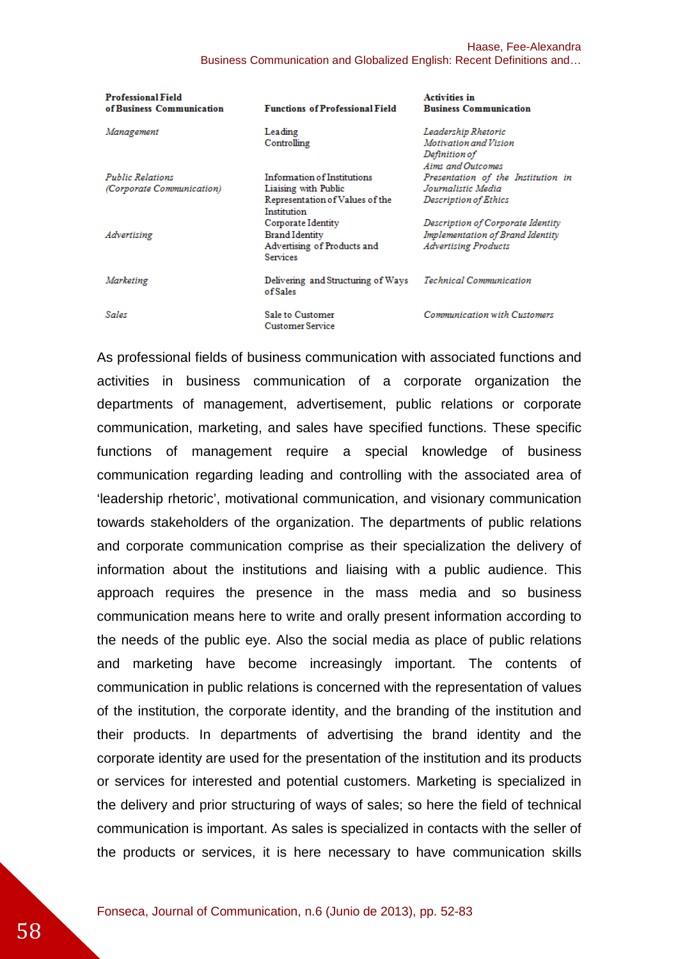| <b>Professional Field</b><br>of Business Communication | <b>Functions of Professional Field</b>                                                                | <b>Activities in</b><br><b>Business Communication</b>                                                |
|--------------------------------------------------------|-------------------------------------------------------------------------------------------------------|------------------------------------------------------------------------------------------------------|
| Management                                             | Leading<br>Controlling                                                                                | Leadership Rhetoric<br>Motivation and Vision<br>Definition of<br>Aims and Outcomes                   |
| <b>Public Relations</b><br>(Corporate Communication)   | Information of Institutions<br>Liaising with Public<br>Representation of Values of the<br>Institution | Presentation of the Institution in<br>Journalistic Media<br>Description of Ethics                    |
| Advertising                                            | Corporate Identity<br><b>Brand Identity</b><br>Advertising of Products and<br><b>Services</b>         | Description of Corporate Identity<br>Implementation of Brand Identity<br><b>Advertising Products</b> |
| Marketing                                              | Delivering and Structuring of Ways<br>of Sales                                                        | <b>Technical Communication</b>                                                                       |
| Sales                                                  | Sale to Customer<br><b>Customer Service</b>                                                           | <b>Communication with Customers</b>                                                                  |

As professional fields of business communication with associated functions and activities in business communication of a corporate organization the departments of management, advertisement, public relations or corporate communication, marketing, and sales have specified functions. These specific functions of management require a special knowledge of business communication regarding leading and controlling with the associated area of 'leadership rhetoric', motivational communication, and visionary communication towards stakeholders of the organization. The departments of public relations and corporate communication comprise as their specialization the delivery of information about the institutions and liaising with a public audience. This approach requires the presence in the mass media and so business communication means here to write and orally present information according to the needs of the public eye. Also the social media as place of public relations and marketing have become increasingly important. The contents of communication in public relations is concerned with the representation of values of the institution, the corporate identity, and the branding of the institution and their products. In departments of advertising the brand identity and the corporate identity are used for the presentation of the institution and its products or services for interested and potential customers. Marketing is specialized in the delivery and prior structuring of ways of sales; so here the field of technical communication is important. As sales is specialized in contacts with the seller of the products or services, it is here necessary to have communication skills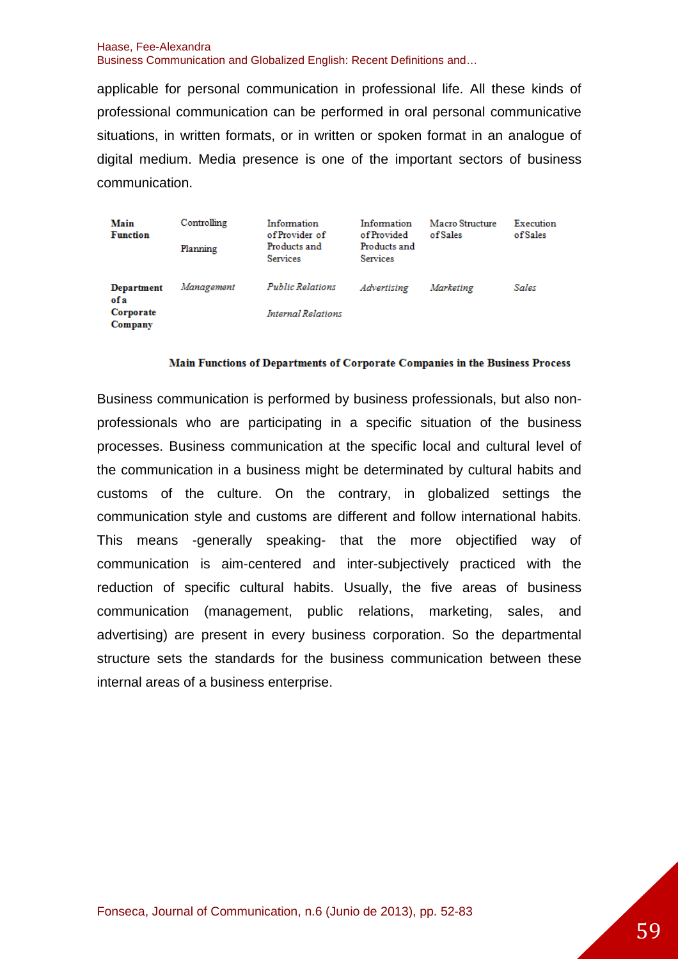applicable for personal communication in professional life. All these kinds of professional communication can be performed in oral personal communicative situations, in written formats, or in written or spoken format in an analogue of digital medium. Media presence is one of the important sectors of business communication.

| Main<br><b>Function</b>                          | Controlling<br>Planning | Information<br>of Provider of<br>Products and<br><b>Services</b> | Information<br>of Provided<br>Products and<br><b>Services</b> | Macro Structure<br>of Sales | Execution<br>of Sales |
|--------------------------------------------------|-------------------------|------------------------------------------------------------------|---------------------------------------------------------------|-----------------------------|-----------------------|
| <b>Department</b><br>ofa<br>Corporate<br>Company | Management              | Public Relations<br>Internal Relations                           | Advertising                                                   | Marketing                   | Sales                 |

#### Main Functions of Departments of Corporate Companies in the Business Process

Business communication is performed by business professionals, but also nonprofessionals who are participating in a specific situation of the business processes. Business communication at the specific local and cultural level of the communication in a business might be determinated by cultural habits and customs of the culture. On the contrary, in globalized settings the communication style and customs are different and follow international habits. This means -generally speaking- that the more objectified way of communication is aim-centered and inter-subjectively practiced with the reduction of specific cultural habits. Usually, the five areas of business communication (management, public relations, marketing, sales, and advertising) are present in every business corporation. So the departmental structure sets the standards for the business communication between these internal areas of a business enterprise.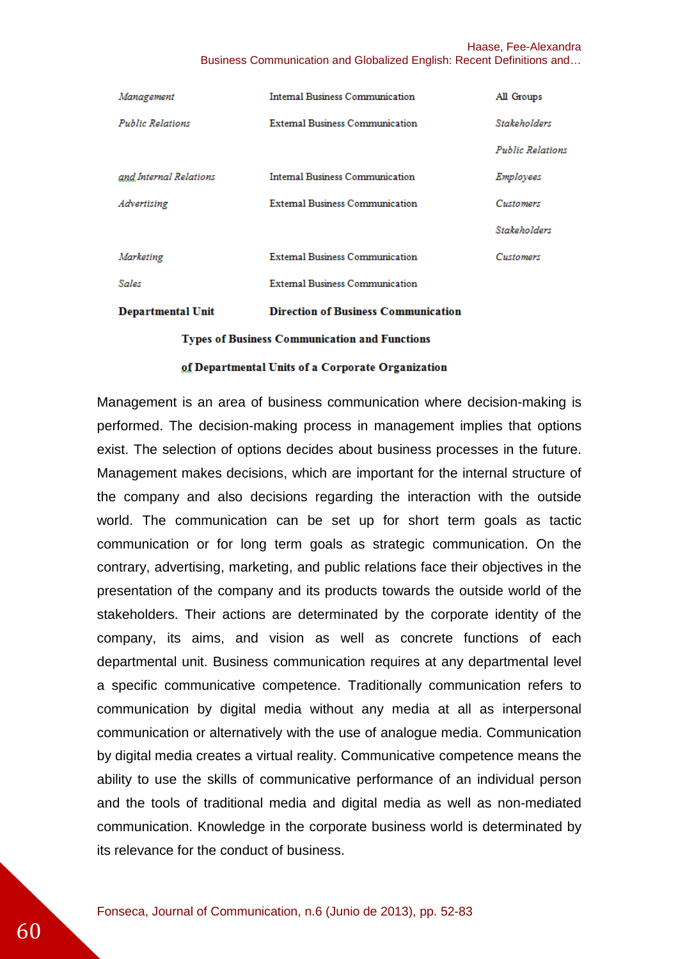| Management                                           | <b>Internal Business Communication</b>     | All Groups              |
|------------------------------------------------------|--------------------------------------------|-------------------------|
| <b>Public Relations</b>                              | <b>External Business Communication</b>     | <b>Stakeholders</b>     |
|                                                      |                                            | <b>Public Relations</b> |
| and Internal Relations                               | <b>Internal Business Communication</b>     | Employees               |
| Advertising                                          | <b>External Business Communication</b>     | Customers               |
|                                                      |                                            | <b>Stakeholders</b>     |
| Marketing                                            | <b>External Business Communication</b>     | Customers               |
| Sales                                                | <b>External Business Communication</b>     |                         |
| Departmental Unit                                    | <b>Direction of Business Communication</b> |                         |
| <b>Types of Business Communication and Functions</b> |                                            |                         |

#### of Departmental Units of a Corporate Organization

Management is an area of business communication where decision-making is performed. The decision-making process in management implies that options exist. The selection of options decides about business processes in the future. Management makes decisions, which are important for the internal structure of the company and also decisions regarding the interaction with the outside world. The communication can be set up for short term goals as tactic communication or for long term goals as strategic communication. On the contrary, advertising, marketing, and public relations face their objectives in the presentation of the company and its products towards the outside world of the stakeholders. Their actions are determinated by the corporate identity of the company, its aims, and vision as well as concrete functions of each departmental unit. Business communication requires at any departmental level a specific communicative competence. Traditionally communication refers to communication by digital media without any media at all as interpersonal communication or alternatively with the use of analogue media. Communication by digital media creates a virtual reality. Communicative competence means the ability to use the skills of communicative performance of an individual person and the tools of traditional media and digital media as well as non-mediated communication. Knowledge in the corporate business world is determinated by its relevance for the conduct of business.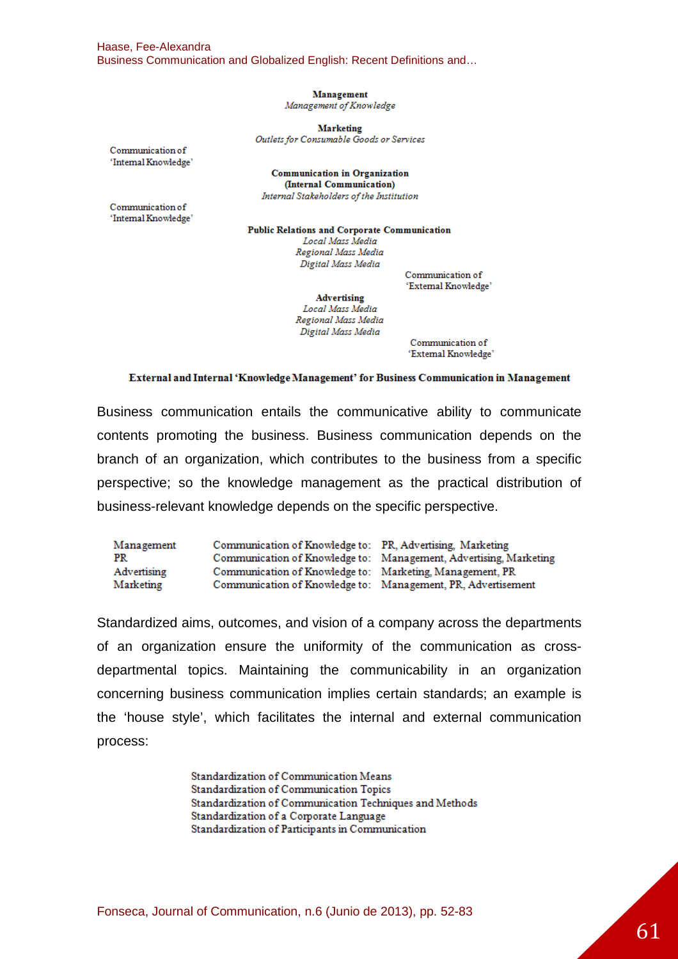Management

Management of Knowledge

**Marketing** Outlets for Consumable Goods or Services

Communication of 'Internal Knowledge'

**Communication in Organization** (Internal Communication) Internal Stakeholders of the Institution

Communication of 'Internal Knowledge'

**Public Relations and Corporate Communication** Local Mass Media Regional Mass Media Digital Mass Media

Communication of 'External Knowledge'

Advertising Local Mass Media Regional Mass Media Digital Mass Media

Communication of 'External Knowledge'

#### External and Internal 'Knowledge Management' for Business Communication in Management

Business communication entails the communicative ability to communicate contents promoting the business. Business communication depends on the branch of an organization, which contributes to the business from a specific perspective; so the knowledge management as the practical distribution of business-relevant knowledge depends on the specific perspective.

| Management  | Communication of Knowledge to: PR, Advertising, Marketing    |                                                                   |
|-------------|--------------------------------------------------------------|-------------------------------------------------------------------|
| PR          |                                                              | Communication of Knowledge to: Management, Advertising, Marketing |
| Advertising | Communication of Knowledge to: Marketing, Management, PR     |                                                                   |
| Marketing   | Communication of Knowledge to: Management, PR, Advertisement |                                                                   |

Standardized aims, outcomes, and vision of a company across the departments of an organization ensure the uniformity of the communication as crossdepartmental topics. Maintaining the communicability in an organization concerning business communication implies certain standards; an example is the 'house style', which facilitates the internal and external communication process:

> Standardization of Communication Means Standardization of Communication Topics Standardization of Communication Techniques and Methods Standardization of a Corporate Language Standardization of Participants in Communication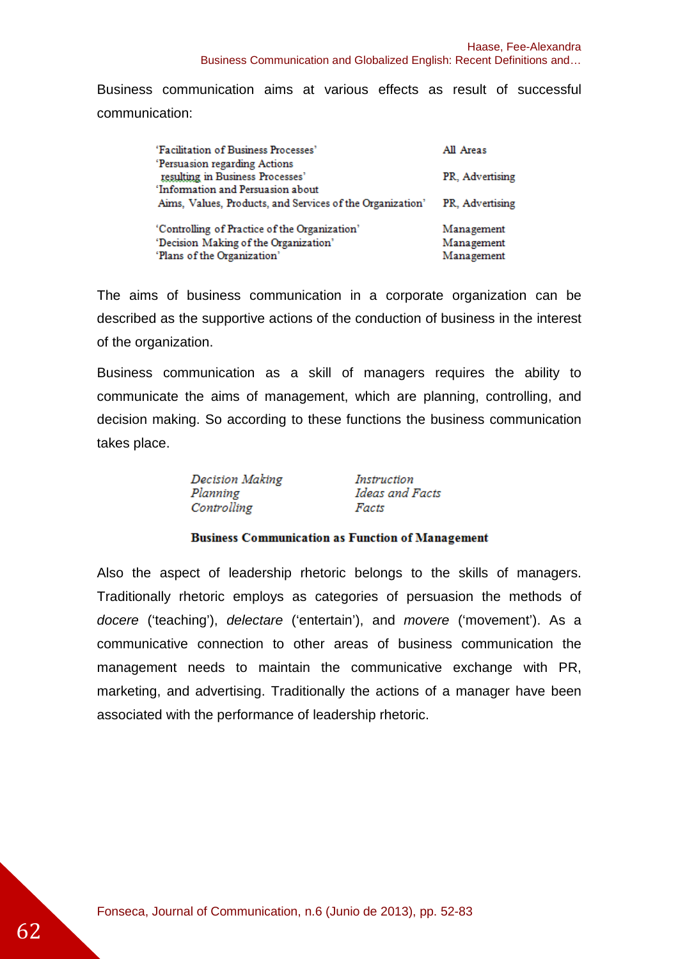Business communication aims at various effects as result of successful communication:

| 'Facilitation of Business Processes'                                                                                  | All Areas                              |
|-----------------------------------------------------------------------------------------------------------------------|----------------------------------------|
| 'Persuasion regarding Actions<br>resulting in Business Processes'                                                     | PR, Advertising                        |
| 'Information and Persuasion about                                                                                     |                                        |
| Aims, Values, Products, and Services of the Organization'                                                             | PR, Advertising                        |
| 'Controlling of Practice of the Organization'<br>'Decision Making of the Organization'<br>'Plans of the Organization' | Management<br>Management<br>Management |
|                                                                                                                       |                                        |

The aims of business communication in a corporate organization can be described as the supportive actions of the conduction of business in the interest of the organization.

Business communication as a skill of managers requires the ability to communicate the aims of management, which are planning, controlling, and decision making. So according to these functions the business communication takes place.

Decision Making Flanning Manning<br>Planning Flanning Heas and Facts<br>Controlling Facts

#### **Business Communication as Function of Management**

Also the aspect of leadership rhetoric belongs to the skills of managers. Traditionally rhetoric employs as categories of persuasion the methods of docere ('teaching'), delectare ('entertain'), and movere ('movement'). As a communicative connection to other areas of business communication the management needs to maintain the communicative exchange with PR, marketing, and advertising. Traditionally the actions of a manager have been associated with the performance of leadership rhetoric.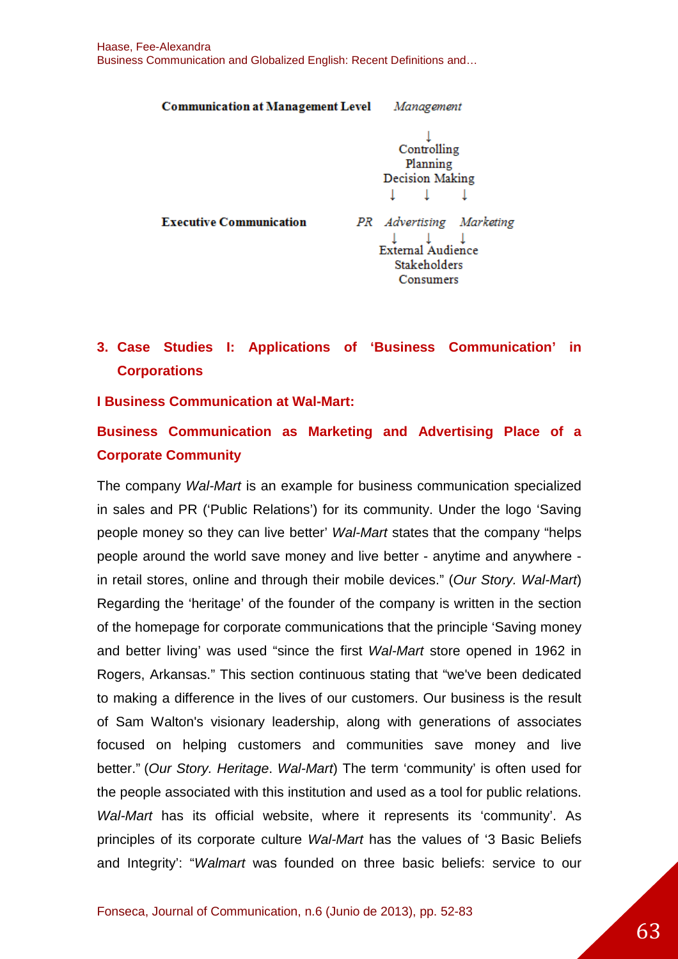**Communication at Management Level Management** 

Controlling Planning **Decision Making** T.  $\perp$ т.

**Executive Communication** 

PR Advertising Marketing  $\downarrow$   $\downarrow$   $\downarrow$   $\downarrow$  External Audience **Stakeholders** Consumers

# **3. Case Studies I: Applications of 'Business Communication' in Corporations**

### **I Business Communication at Wal-Mart:**

# **Business Communication as Marketing and Advertising Place of a Corporate Community**

The company Wal-Mart is an example for business communication specialized in sales and PR ('Public Relations') for its community. Under the logo 'Saving people money so they can live better' Wal-Mart states that the company "helps people around the world save money and live better - anytime and anywhere in retail stores, online and through their mobile devices." (Our Story. Wal-Mart) Regarding the 'heritage' of the founder of the company is written in the section of the homepage for corporate communications that the principle 'Saving money and better living' was used "since the first Wal-Mart store opened in 1962 in Rogers, Arkansas." This section continuous stating that "we've been dedicated to making a difference in the lives of our customers. Our business is the result of Sam Walton's visionary leadership, along with generations of associates focused on helping customers and communities save money and live better." (Our Story. Heritage. Wal-Mart) The term 'community' is often used for the people associated with this institution and used as a tool for public relations. Wal-Mart has its official website, where it represents its 'community'. As principles of its corporate culture Wal-Mart has the values of '3 Basic Beliefs and Integrity': "Walmart was founded on three basic beliefs: service to our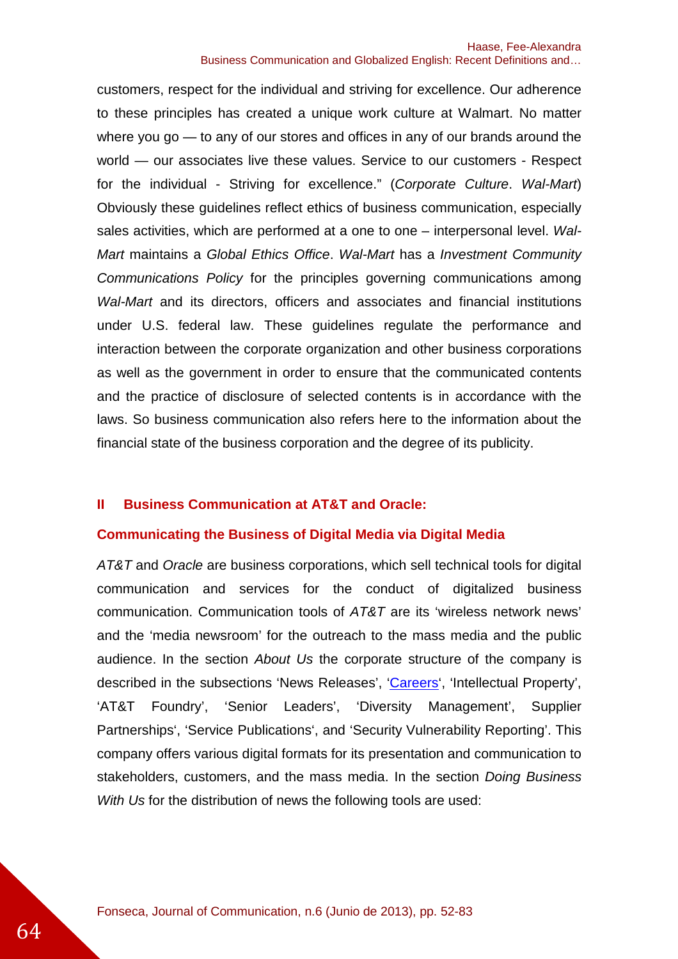customers, respect for the individual and striving for excellence. Our adherence to these principles has created a unique work culture at Walmart. No matter where you go — to any of our stores and offices in any of our brands around the world — our associates live these values. Service to our customers - Respect for the individual - Striving for excellence." (Corporate Culture. Wal-Mart) Obviously these guidelines reflect ethics of business communication, especially sales activities, which are performed at a one to one – interpersonal level. Wal-Mart maintains a Global Ethics Office. Wal-Mart has a Investment Community Communications Policy for the principles governing communications among Wal-Mart and its directors, officers and associates and financial institutions under U.S. federal law. These guidelines regulate the performance and interaction between the corporate organization and other business corporations as well as the government in order to ensure that the communicated contents and the practice of disclosure of selected contents is in accordance with the laws. So business communication also refers here to the information about the financial state of the business corporation and the degree of its publicity.

### **II Business Communication at AT&T and Oracle:**

### **Communicating the Business of Digital Media via Digital Media**

AT&T and Oracle are business corporations, which sell technical tools for digital communication and services for the conduct of digitalized business communication. Communication tools of AT&T are its 'wireless network news' and the 'media newsroom' for the outreach to the mass media and the public audience. In the section About Us the corporate structure of the company is described in the subsections 'News Releases', 'Careers', 'Intellectual Property', 'AT&T Foundry', 'Senior Leaders', 'Diversity Management', Supplier Partnerships', 'Service Publications', and 'Security Vulnerability Reporting'. This company offers various digital formats for its presentation and communication to stakeholders, customers, and the mass media. In the section Doing Business With Us for the distribution of news the following tools are used: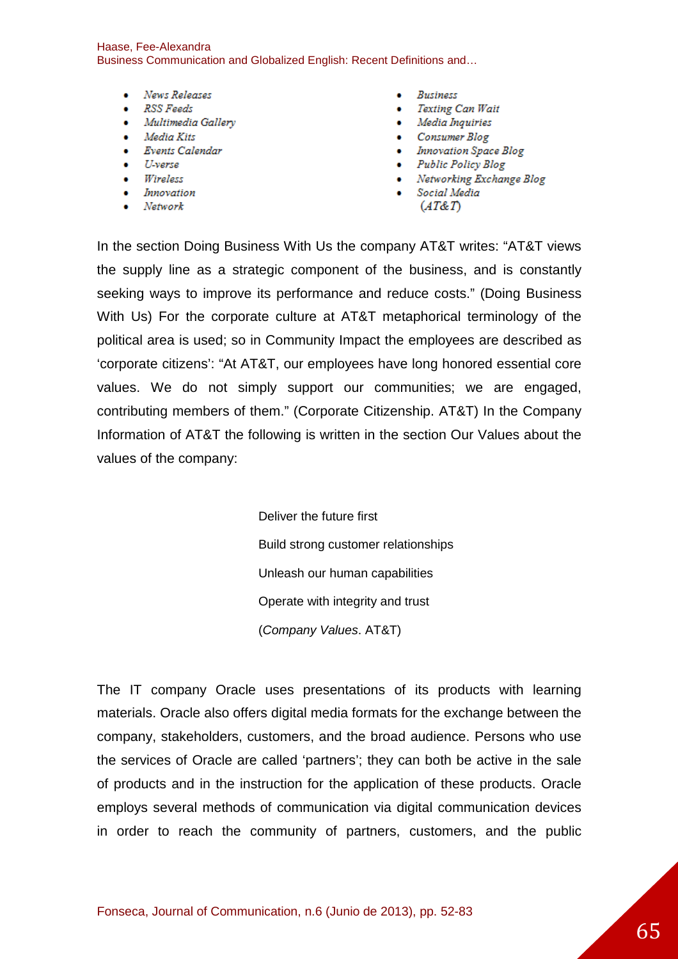- News Releases
- RSS Feeds
- Multimedia Gallery
- $\bullet$  Media Kits
- Events Calendar
- U-verse
- Wireless
- Innovation
- $\bullet$  Network
- · Business
- Texting Can Wait
- Media Inquiries
- Consumer Blog
- Innovation Space Blog
- Public Policy Blog
- Networking Exchange Blog
- · Social Media
	- $(AT\&T)$

In the section Doing Business With Us the company AT&T writes: "AT&T views the supply line as a strategic component of the business, and is constantly seeking ways to improve its performance and reduce costs." (Doing Business With Us) For the corporate culture at AT&T metaphorical terminology of the political area is used; so in Community Impact the employees are described as 'corporate citizens': "At AT&T, our employees have long honored essential core values. We do not simply support our communities; we are engaged, contributing members of them." (Corporate Citizenship. AT&T) In the Company Information of AT&T the following is written in the section Our Values about the values of the company:

> Deliver the future first Build strong customer relationships Unleash our human capabilities Operate with integrity and trust (Company Values. AT&T)

The IT company Oracle uses presentations of its products with learning materials. Oracle also offers digital media formats for the exchange between the company, stakeholders, customers, and the broad audience. Persons who use the services of Oracle are called 'partners'; they can both be active in the sale of products and in the instruction for the application of these products. Oracle employs several methods of communication via digital communication devices in order to reach the community of partners, customers, and the public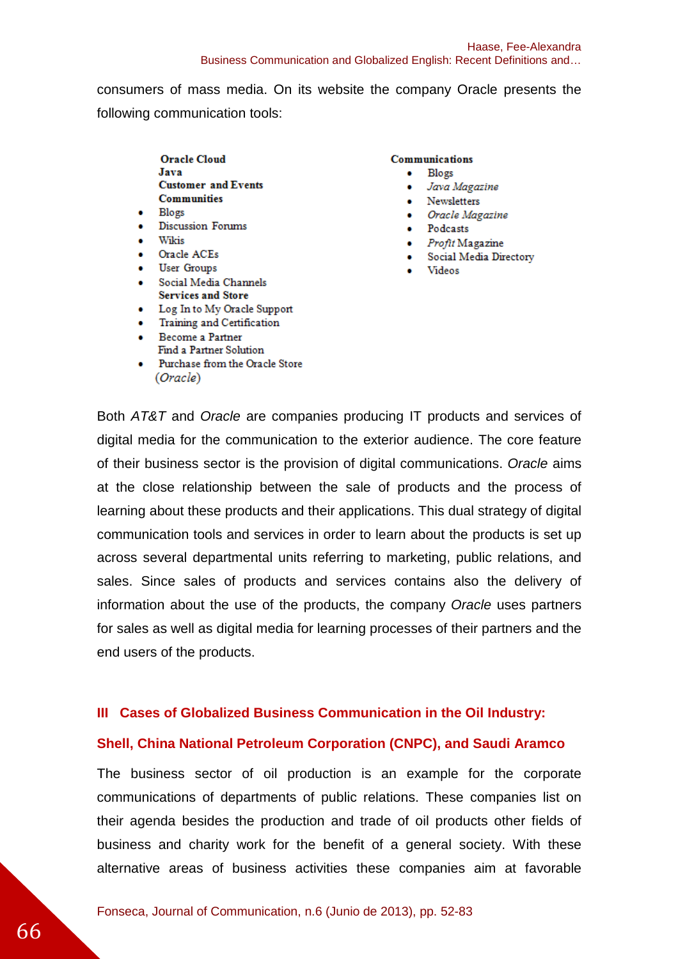consumers of mass media. On its website the company Oracle presents the following communication tools:

- **Oracle Cloud** Java **Customer and Events Communities**
- $\bullet$  Blogs
- Discussion Forums
- Wikis
- Oracle ACEs
- **User Groups**
- · Social Media Channels **Services and Store**
- Log In to My Oracle Support
- Training and Certification
- Become a Partner Find a Partner Solution
- Purchase from the Oracle Store (Oracle)

#### **Communications**

- $\bullet$  Blogs
	- · Java Magazine
- Newsletters
- Oracle Magazine
- · Podcasts
- Profit Magazine
- Social Media Directory
- · Videos

Both AT&T and Oracle are companies producing IT products and services of digital media for the communication to the exterior audience. The core feature of their business sector is the provision of digital communications. Oracle aims at the close relationship between the sale of products and the process of learning about these products and their applications. This dual strategy of digital communication tools and services in order to learn about the products is set up across several departmental units referring to marketing, public relations, and sales. Since sales of products and services contains also the delivery of information about the use of the products, the company Oracle uses partners for sales as well as digital media for learning processes of their partners and the end users of the products.

### **III Cases of Globalized Business Communication in the Oil Industry:**

### **Shell, China National Petroleum Corporation (CNPC), and Saudi Aramco**

The business sector of oil production is an example for the corporate communications of departments of public relations. These companies list on their agenda besides the production and trade of oil products other fields of business and charity work for the benefit of a general society. With these alternative areas of business activities these companies aim at favorable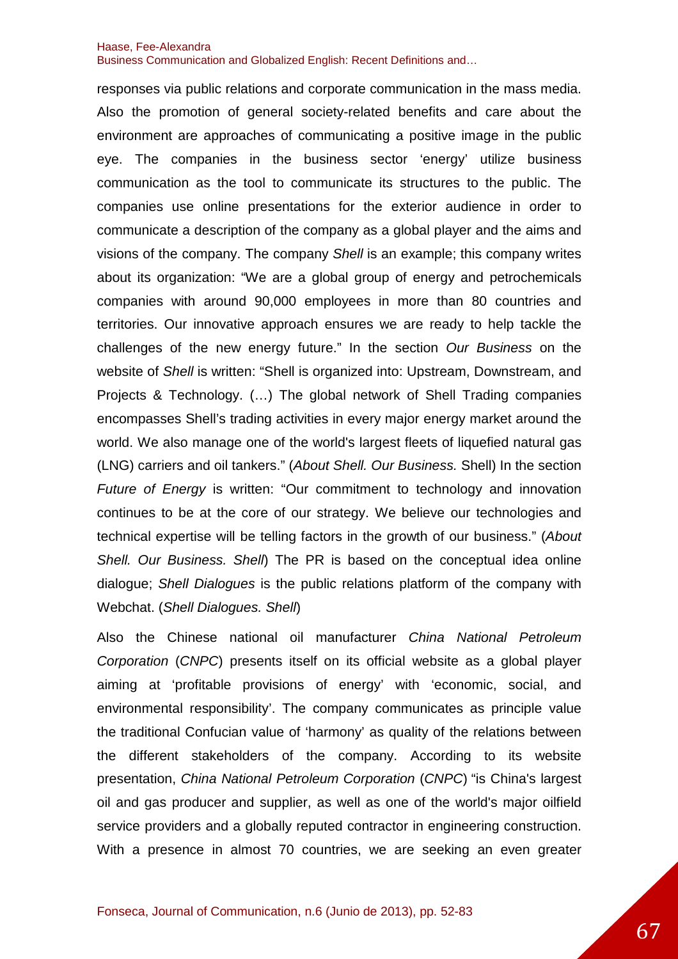responses via public relations and corporate communication in the mass media. Also the promotion of general society-related benefits and care about the environment are approaches of communicating a positive image in the public eye. The companies in the business sector 'energy' utilize business communication as the tool to communicate its structures to the public. The companies use online presentations for the exterior audience in order to communicate a description of the company as a global player and the aims and visions of the company. The company Shell is an example; this company writes about its organization: "We are a global group of energy and petrochemicals companies with around 90,000 employees in more than 80 countries and territories. Our innovative approach ensures we are ready to help tackle the challenges of the new energy future." In the section Our Business on the website of Shell is written: "Shell is organized into: Upstream, Downstream, and Projects & Technology. (…) The global network of Shell Trading companies encompasses Shell's trading activities in every major energy market around the world. We also manage one of the world's largest fleets of liquefied natural gas (LNG) carriers and oil tankers." (About Shell. Our Business. Shell) In the section Future of Energy is written: "Our commitment to technology and innovation continues to be at the core of our strategy. We believe our technologies and technical expertise will be telling factors in the growth of our business." (About Shell. Our Business. Shell) The PR is based on the conceptual idea online dialogue; Shell Dialogues is the public relations platform of the company with Webchat. (Shell Dialogues. Shell)

Also the Chinese national oil manufacturer China National Petroleum Corporation (CNPC) presents itself on its official website as a global player aiming at 'profitable provisions of energy' with 'economic, social, and environmental responsibility'. The company communicates as principle value the traditional Confucian value of 'harmony' as quality of the relations between the different stakeholders of the company. According to its website presentation, China National Petroleum Corporation (CNPC) "is China's largest oil and gas producer and supplier, as well as one of the world's major oilfield service providers and a globally reputed contractor in engineering construction. With a presence in almost 70 countries, we are seeking an even greater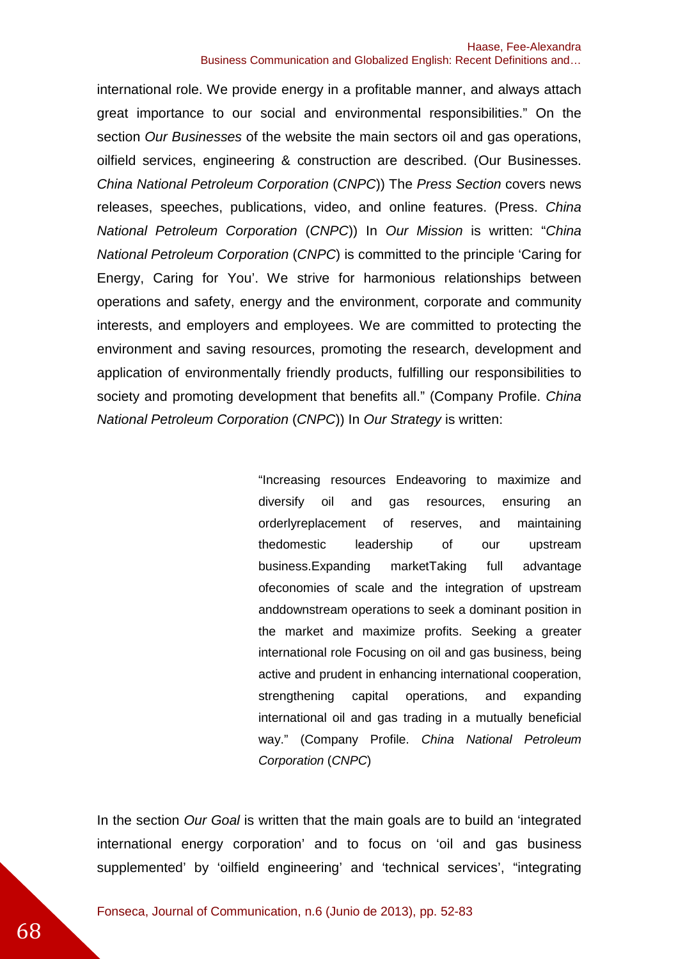international role. We provide energy in a profitable manner, and always attach great importance to our social and environmental responsibilities." On the section Our Businesses of the website the main sectors oil and gas operations, oilfield services, engineering & construction are described. (Our Businesses. China National Petroleum Corporation (CNPC)) The Press Section covers news releases, speeches, publications, video, and online features. (Press. China National Petroleum Corporation (CNPC)) In Our Mission is written: "China National Petroleum Corporation (CNPC) is committed to the principle 'Caring for Energy, Caring for You'. We strive for harmonious relationships between operations and safety, energy and the environment, corporate and community interests, and employers and employees. We are committed to protecting the environment and saving resources, promoting the research, development and application of environmentally friendly products, fulfilling our responsibilities to society and promoting development that benefits all." (Company Profile, China National Petroleum Corporation (CNPC)) In Our Strategy is written:

> "Increasing resources Endeavoring to maximize and diversify oil and gas resources, ensuring an orderlyreplacement of reserves, and maintaining thedomestic leadership of our upstream business.Expanding marketTaking full advantage ofeconomies of scale and the integration of upstream anddownstream operations to seek a dominant position in the market and maximize profits. Seeking a greater international role Focusing on oil and gas business, being active and prudent in enhancing international cooperation, strengthening capital operations, and expanding international oil and gas trading in a mutually beneficial way." (Company Profile. China National Petroleum Corporation (CNPC)

In the section Our Goal is written that the main goals are to build an 'integrated international energy corporation' and to focus on 'oil and gas business supplemented' by 'oilfield engineering' and 'technical services', "integrating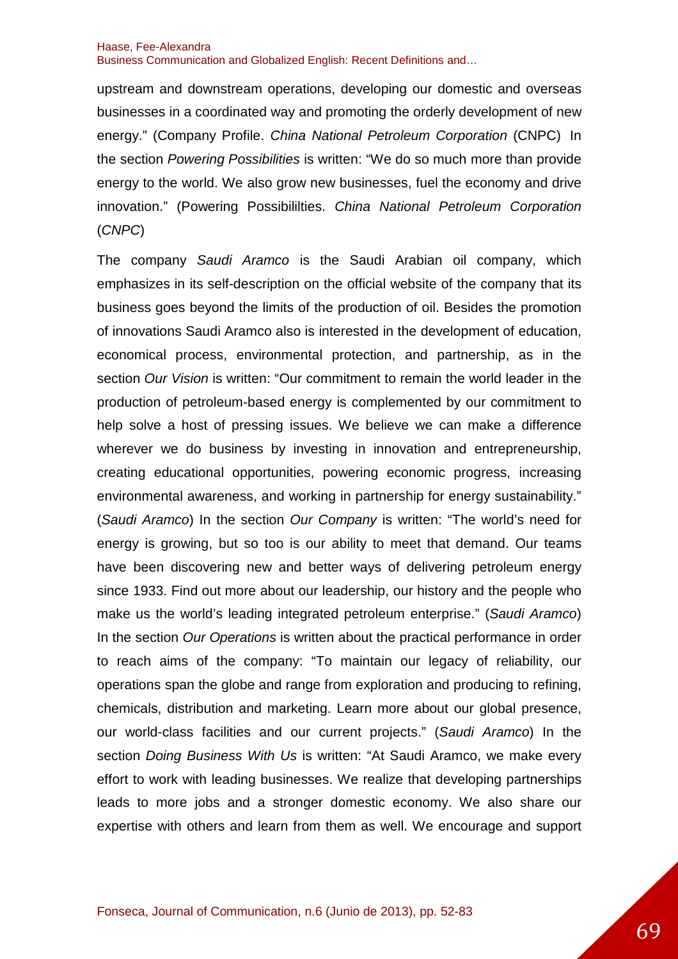upstream and downstream operations, developing our domestic and overseas businesses in a coordinated way and promoting the orderly development of new energy." (Company Profile. China National Petroleum Corporation (CNPC) In the section Powering Possibilities is written: "We do so much more than provide energy to the world. We also grow new businesses, fuel the economy and drive innovation." (Powering Possibililties. China National Petroleum Corporation (CNPC)

The company Saudi Aramco is the Saudi Arabian oil company, which emphasizes in its self-description on the official website of the company that its business goes beyond the limits of the production of oil. Besides the promotion of innovations Saudi Aramco also is interested in the development of education, economical process, environmental protection, and partnership, as in the section Our Vision is written: "Our commitment to remain the world leader in the production of petroleum-based energy is complemented by our commitment to help solve a host of pressing issues. We believe we can make a difference wherever we do business by investing in innovation and entrepreneurship, creating educational opportunities, powering economic progress, increasing environmental awareness, and working in partnership for energy sustainability." (Saudi Aramco) In the section Our Company is written: "The world's need for energy is growing, but so too is our ability to meet that demand. Our teams have been discovering new and better ways of delivering petroleum energy since 1933. Find out more about our leadership, our history and the people who make us the world's leading integrated petroleum enterprise." (Saudi Aramco) In the section Our Operations is written about the practical performance in order to reach aims of the company: "To maintain our legacy of reliability, our operations span the globe and range from exploration and producing to refining, chemicals, distribution and marketing. Learn more about our global presence, our world-class facilities and our current projects." (Saudi Aramco) In the section Doing Business With Us is written: "At Saudi Aramco, we make every effort to work with leading businesses. We realize that developing partnerships leads to more jobs and a stronger domestic economy. We also share our expertise with others and learn from them as well. We encourage and support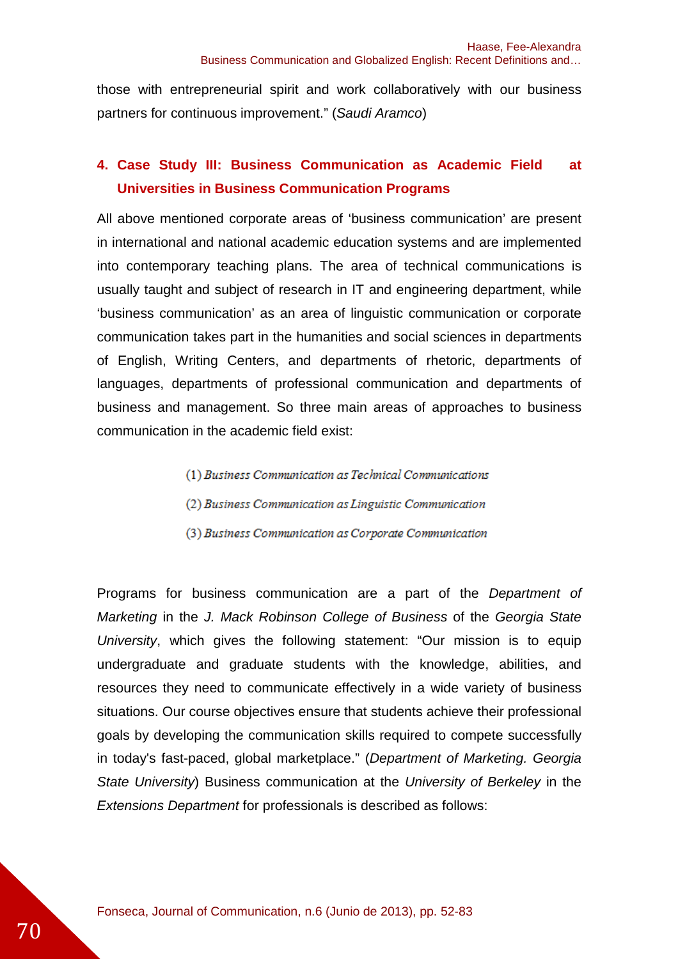those with entrepreneurial spirit and work collaboratively with our business partners for continuous improvement." (Saudi Aramco)

# **4. Case Study III: Business Communication as Academic Field at Universities in Business Communication Programs**

All above mentioned corporate areas of 'business communication' are present in international and national academic education systems and are implemented into contemporary teaching plans. The area of technical communications is usually taught and subject of research in IT and engineering department, while 'business communication' as an area of linguistic communication or corporate communication takes part in the humanities and social sciences in departments of English, Writing Centers, and departments of rhetoric, departments of languages, departments of professional communication and departments of business and management. So three main areas of approaches to business communication in the academic field exist:

> (1) Business Communication as Technical Communications (2) Business Communication as Linguistic Communication (3) Business Communication as Corporate Communication

Programs for business communication are a part of the Department of Marketing in the J. Mack Robinson College of Business of the Georgia State University, which gives the following statement: "Our mission is to equip undergraduate and graduate students with the knowledge, abilities, and resources they need to communicate effectively in a wide variety of business situations. Our course objectives ensure that students achieve their professional goals by developing the communication skills required to compete successfully in today's fast-paced, global marketplace." (Department of Marketing. Georgia State University) Business communication at the University of Berkeley in the Extensions Department for professionals is described as follows: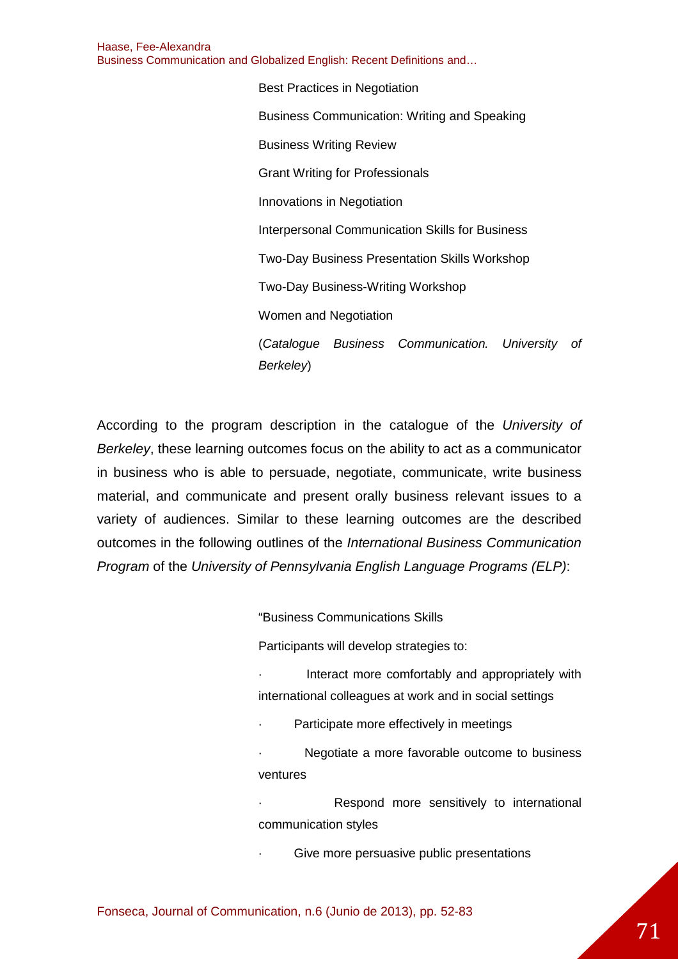> Best Practices in Negotiation Business Communication: Writing and Speaking Business Writing Review Grant Writing for Professionals Innovations in Negotiation Interpersonal Communication Skills for Business Two-Day Business Presentation Skills Workshop Two-Day Business-Writing Workshop Women and Negotiation (Catalogue Business Communication. University of Berkeley)

According to the program description in the catalogue of the University of Berkeley, these learning outcomes focus on the ability to act as a communicator in business who is able to persuade, negotiate, communicate, write business material, and communicate and present orally business relevant issues to a variety of audiences. Similar to these learning outcomes are the described outcomes in the following outlines of the International Business Communication Program of the University of Pennsylvania English Language Programs (ELP):

"Business Communications Skills

Participants will develop strategies to:

Interact more comfortably and appropriately with international colleagues at work and in social settings

Participate more effectively in meetings

Negotiate a more favorable outcome to business ventures

Respond more sensitively to international communication styles

Give more persuasive public presentations

Fonseca, Journal of Communication, n.6 (Junio de 2013), pp. 52-83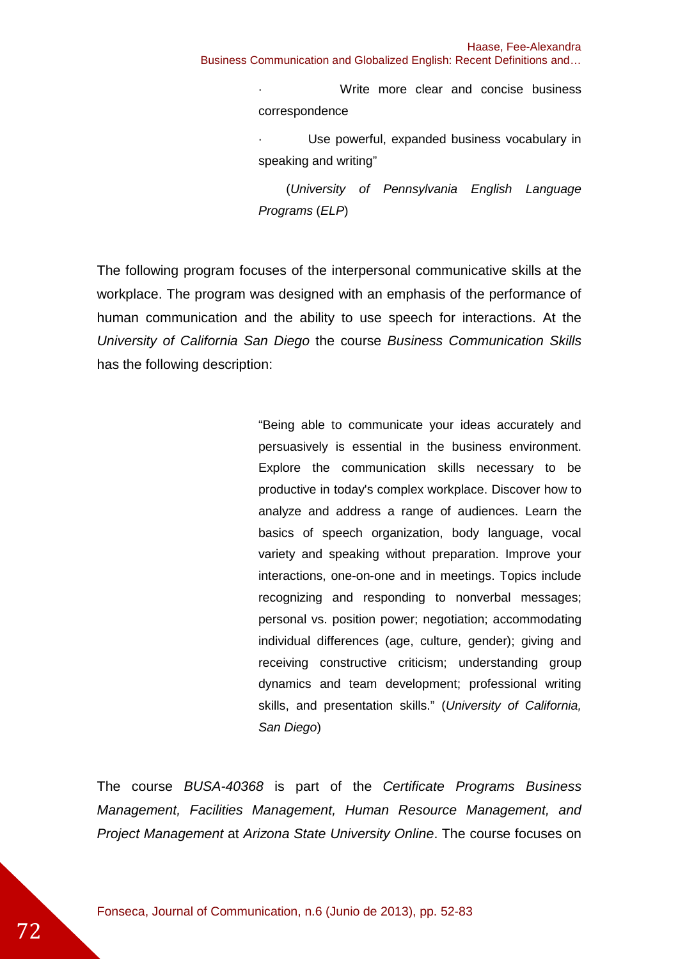Business Communication and Globalized English: Recent Definitions and…

Write more clear and concise business correspondence

Use powerful, expanded business vocabulary in speaking and writing"

 (University of Pennsylvania English Language Programs (ELP)

The following program focuses of the interpersonal communicative skills at the workplace. The program was designed with an emphasis of the performance of human communication and the ability to use speech for interactions. At the University of California San Diego the course Business Communication Skills has the following description:

> "Being able to communicate your ideas accurately and persuasively is essential in the business environment. Explore the communication skills necessary to be productive in today's complex workplace. Discover how to analyze and address a range of audiences. Learn the basics of speech organization, body language, vocal variety and speaking without preparation. Improve your interactions, one-on-one and in meetings. Topics include recognizing and responding to nonverbal messages; personal vs. position power; negotiation; accommodating individual differences (age, culture, gender); giving and receiving constructive criticism; understanding group dynamics and team development; professional writing skills, and presentation skills." (University of California, San Diego)

The course BUSA-40368 is part of the Certificate Programs Business Management, Facilities Management, Human Resource Management, and Project Management at Arizona State University Online. The course focuses on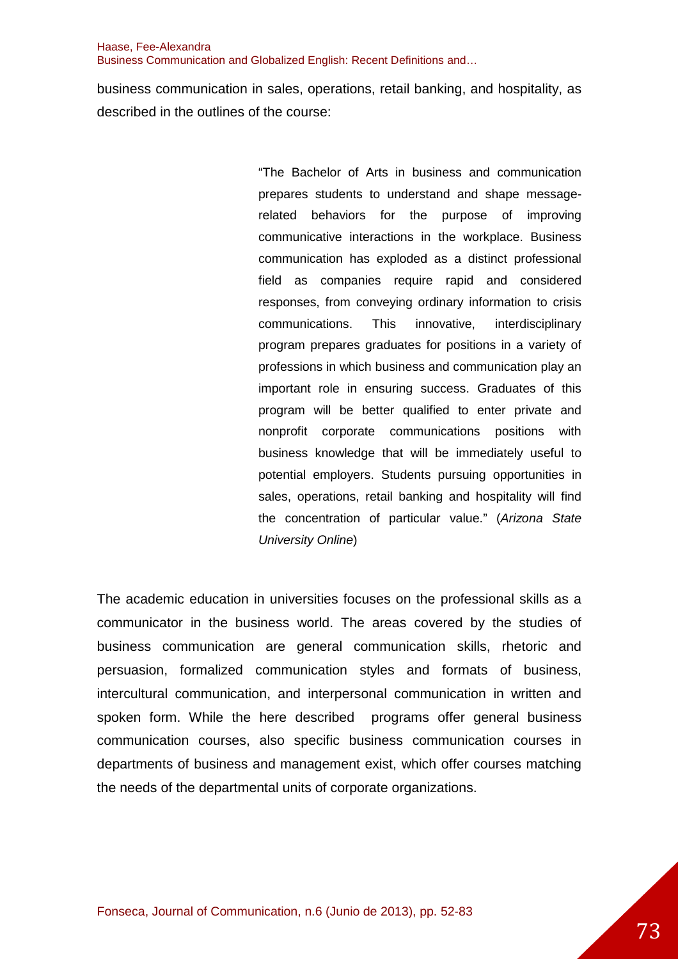business communication in sales, operations, retail banking, and hospitality, as described in the outlines of the course:

> "The Bachelor of Arts in business and communication prepares students to understand and shape messagerelated behaviors for the purpose of improving communicative interactions in the workplace. Business communication has exploded as a distinct professional field as companies require rapid and considered responses, from conveying ordinary information to crisis communications. This innovative, interdisciplinary program prepares graduates for positions in a variety of professions in which business and communication play an important role in ensuring success. Graduates of this program will be better qualified to enter private and nonprofit corporate communications positions with business knowledge that will be immediately useful to potential employers. Students pursuing opportunities in sales, operations, retail banking and hospitality will find the concentration of particular value." (Arizona State University Online)

The academic education in universities focuses on the professional skills as a communicator in the business world. The areas covered by the studies of business communication are general communication skills, rhetoric and persuasion, formalized communication styles and formats of business, intercultural communication, and interpersonal communication in written and spoken form. While the here described programs offer general business communication courses, also specific business communication courses in departments of business and management exist, which offer courses matching the needs of the departmental units of corporate organizations.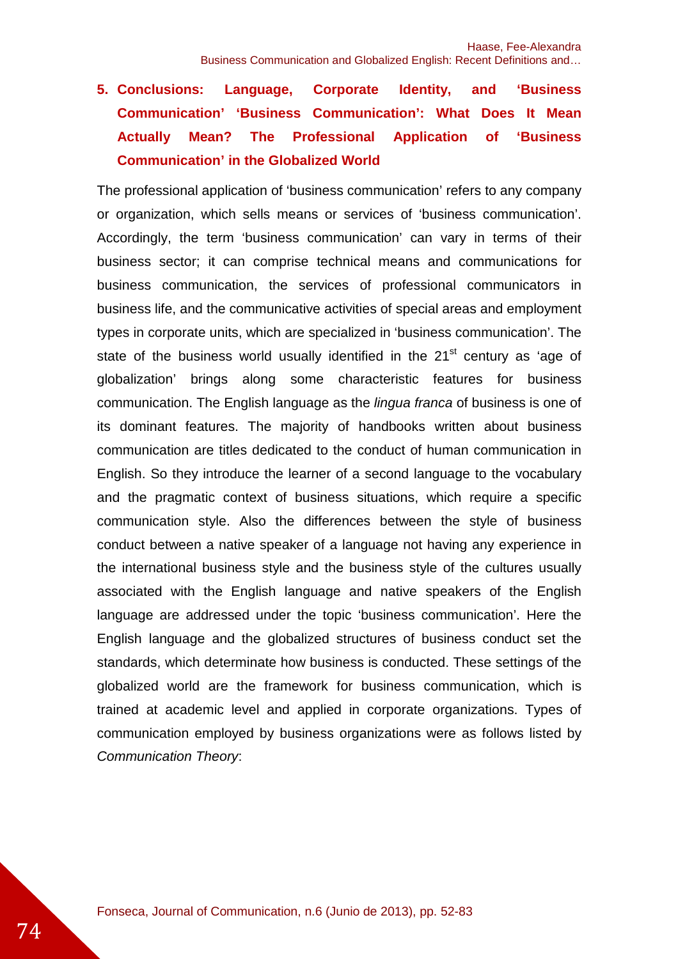# **5. Conclusions: Language, Corporate Identity, and 'Business Communication' 'Business Communication': What Does It Mean Actually Mean? The Professional Application of 'Business Communication' in the Globalized World**

The professional application of 'business communication' refers to any company or organization, which sells means or services of 'business communication'. Accordingly, the term 'business communication' can vary in terms of their business sector; it can comprise technical means and communications for business communication, the services of professional communicators in business life, and the communicative activities of special areas and employment types in corporate units, which are specialized in 'business communication'. The state of the business world usually identified in the  $21<sup>st</sup>$  century as 'age of globalization' brings along some characteristic features for business communication. The English language as the *lingua franca* of business is one of its dominant features. The majority of handbooks written about business communication are titles dedicated to the conduct of human communication in English. So they introduce the learner of a second language to the vocabulary and the pragmatic context of business situations, which require a specific communication style. Also the differences between the style of business conduct between a native speaker of a language not having any experience in the international business style and the business style of the cultures usually associated with the English language and native speakers of the English language are addressed under the topic 'business communication'. Here the English language and the globalized structures of business conduct set the standards, which determinate how business is conducted. These settings of the globalized world are the framework for business communication, which is trained at academic level and applied in corporate organizations. Types of communication employed by business organizations were as follows listed by Communication Theory: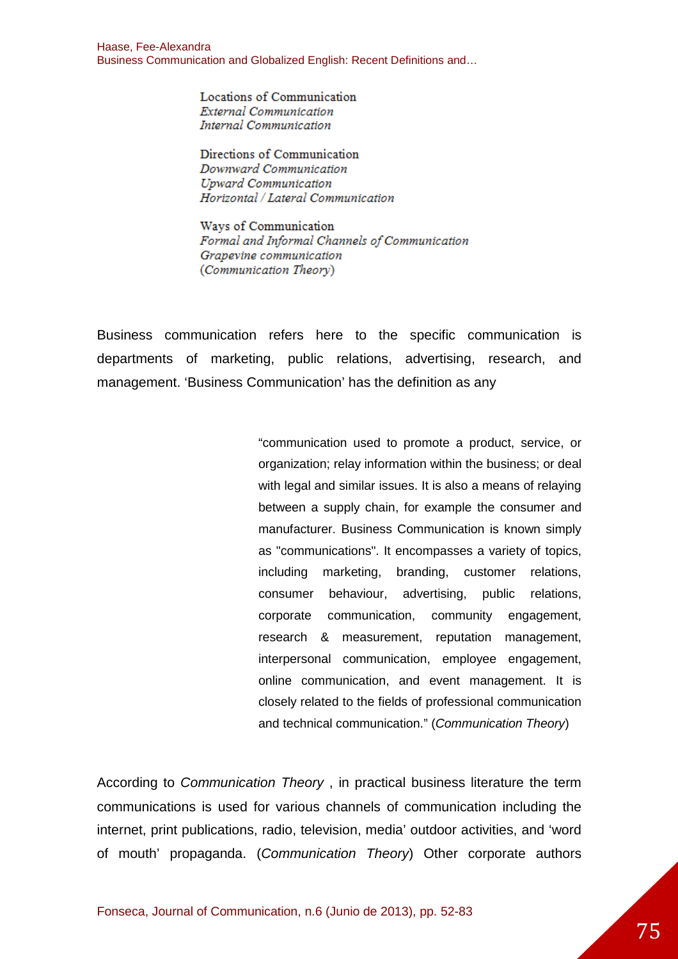> Locations of Communication **External Communication** Internal Communication

Directions of Communication Downward Communication **Upward Communication** Horizontal / Lateral Communication

Ways of Communication Formal and Informal Channels of Communication Grapevine communication (Communication Theory)

Business communication refers here to the specific communication is departments of marketing, public relations, advertising, research, and management. 'Business Communication' has the definition as any

> "communication used to promote a product, service, or organization; relay information within the business; or deal with legal and similar issues. It is also a means of relaying between a supply chain, for example the consumer and manufacturer. Business Communication is known simply as "communications". It encompasses a variety of topics, including marketing, branding, customer relations, consumer behaviour, advertising, public relations, corporate communication, community engagement, research & measurement, reputation management, interpersonal communication, employee engagement, online communication, and event management. It is closely related to the fields of professional communication and technical communication." (Communication Theory)

According to Communication Theory , in practical business literature the term communications is used for various channels of communication including the internet, print publications, radio, television, media' outdoor activities, and 'word of mouth' propaganda. (Communication Theory) Other corporate authors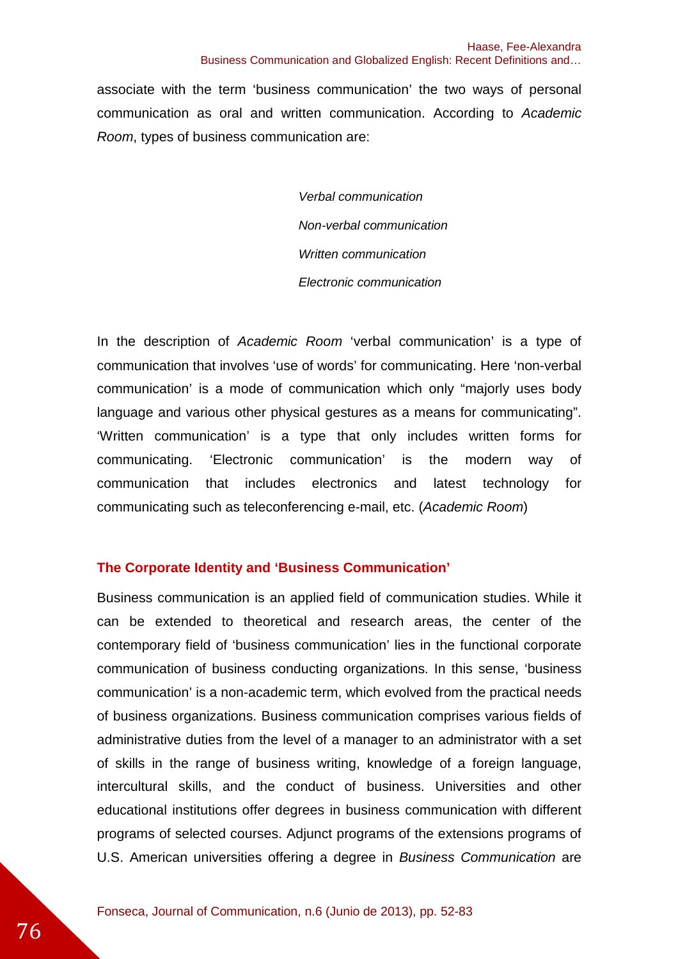associate with the term 'business communication' the two ways of personal communication as oral and written communication. According to Academic Room, types of business communication are:

> Verbal communication Non-verbal communication Written communication Electronic communication

In the description of Academic Room 'verbal communication' is a type of communication that involves 'use of words' for communicating. Here 'non-verbal communication' is a mode of communication which only "majorly uses body language and various other physical gestures as a means for communicating". 'Written communication' is a type that only includes written forms for communicating. 'Electronic communication' is the modern way of communication that includes electronics and latest technology for communicating such as teleconferencing e-mail, etc. (Academic Room)

### **The Corporate Identity and 'Business Communication'**

Business communication is an applied field of communication studies. While it can be extended to theoretical and research areas, the center of the contemporary field of 'business communication' lies in the functional corporate communication of business conducting organizations. In this sense, 'business communication' is a non-academic term, which evolved from the practical needs of business organizations. Business communication comprises various fields of administrative duties from the level of a manager to an administrator with a set of skills in the range of business writing, knowledge of a foreign language, intercultural skills, and the conduct of business. Universities and other educational institutions offer degrees in business communication with different programs of selected courses. Adjunct programs of the extensions programs of U.S. American universities offering a degree in Business Communication are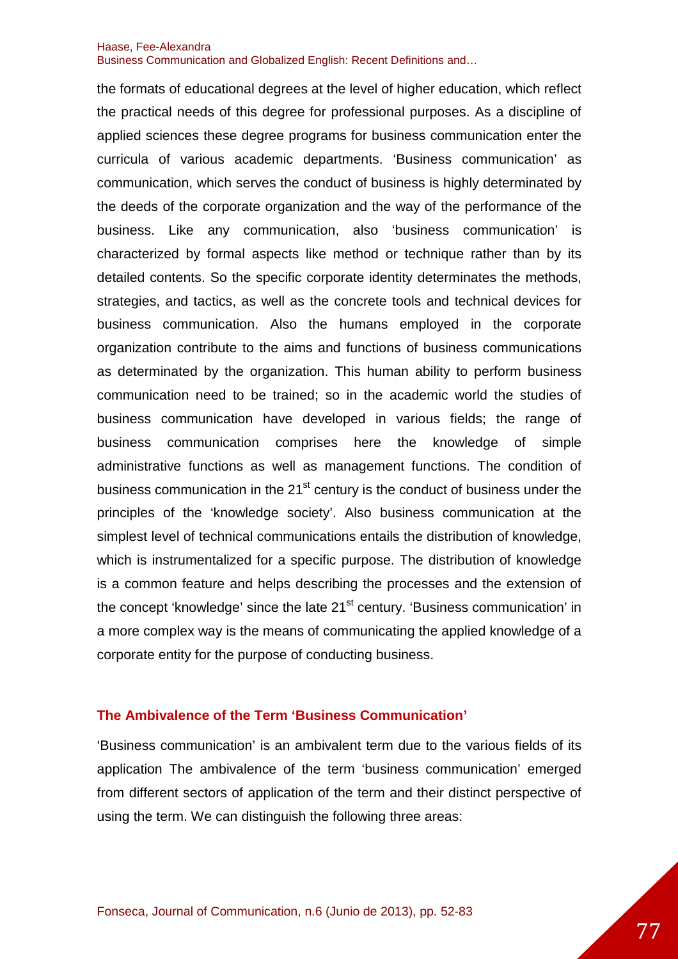the formats of educational degrees at the level of higher education, which reflect the practical needs of this degree for professional purposes. As a discipline of applied sciences these degree programs for business communication enter the curricula of various academic departments. 'Business communication' as communication, which serves the conduct of business is highly determinated by the deeds of the corporate organization and the way of the performance of the business. Like any communication, also 'business communication' is characterized by formal aspects like method or technique rather than by its detailed contents. So the specific corporate identity determinates the methods, strategies, and tactics, as well as the concrete tools and technical devices for business communication. Also the humans employed in the corporate organization contribute to the aims and functions of business communications as determinated by the organization. This human ability to perform business communication need to be trained; so in the academic world the studies of business communication have developed in various fields; the range of business communication comprises here the knowledge of simple administrative functions as well as management functions. The condition of business communication in the 21<sup>st</sup> century is the conduct of business under the principles of the 'knowledge society'. Also business communication at the simplest level of technical communications entails the distribution of knowledge, which is instrumentalized for a specific purpose. The distribution of knowledge is a common feature and helps describing the processes and the extension of the concept 'knowledge' since the late 21<sup>st</sup> century. 'Business communication' in a more complex way is the means of communicating the applied knowledge of a corporate entity for the purpose of conducting business.

### **The Ambivalence of the Term 'Business Communication'**

'Business communication' is an ambivalent term due to the various fields of its application The ambivalence of the term 'business communication' emerged from different sectors of application of the term and their distinct perspective of using the term. We can distinguish the following three areas: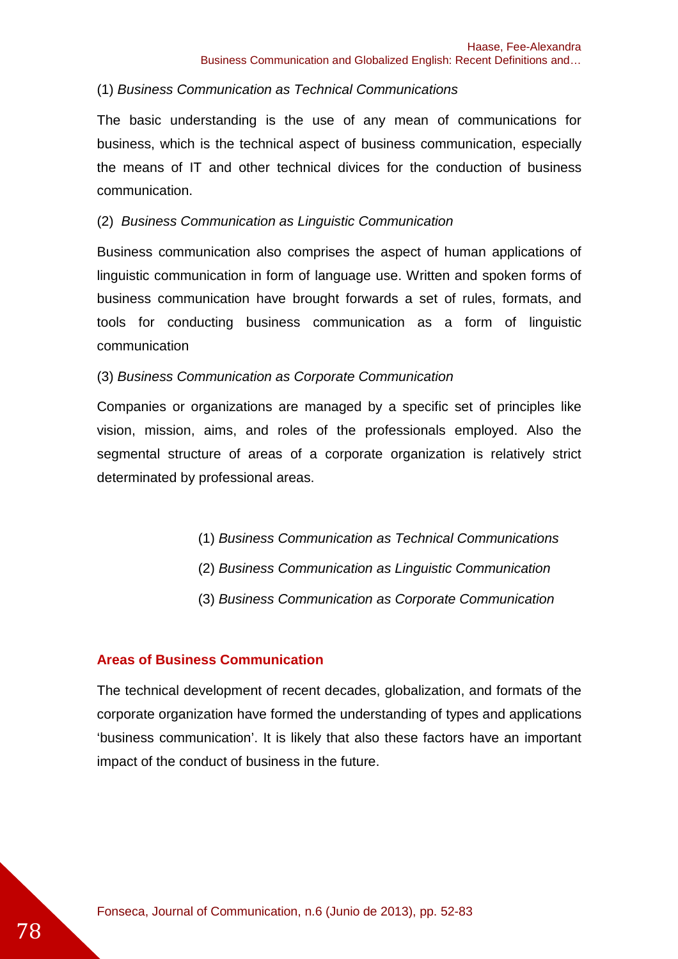### (1) Business Communication as Technical Communications

The basic understanding is the use of any mean of communications for business, which is the technical aspect of business communication, especially the means of IT and other technical divices for the conduction of business communication.

### (2) Business Communication as Linguistic Communication

Business communication also comprises the aspect of human applications of linguistic communication in form of language use. Written and spoken forms of business communication have brought forwards a set of rules, formats, and tools for conducting business communication as a form of linguistic communication

### (3) Business Communication as Corporate Communication

Companies or organizations are managed by a specific set of principles like vision, mission, aims, and roles of the professionals employed. Also the segmental structure of areas of a corporate organization is relatively strict determinated by professional areas.

- (1) Business Communication as Technical Communications
- (2) Business Communication as Linguistic Communication
- (3) Business Communication as Corporate Communication

#### **Areas of Business Communication**

The technical development of recent decades, globalization, and formats of the corporate organization have formed the understanding of types and applications 'business communication'. It is likely that also these factors have an important impact of the conduct of business in the future.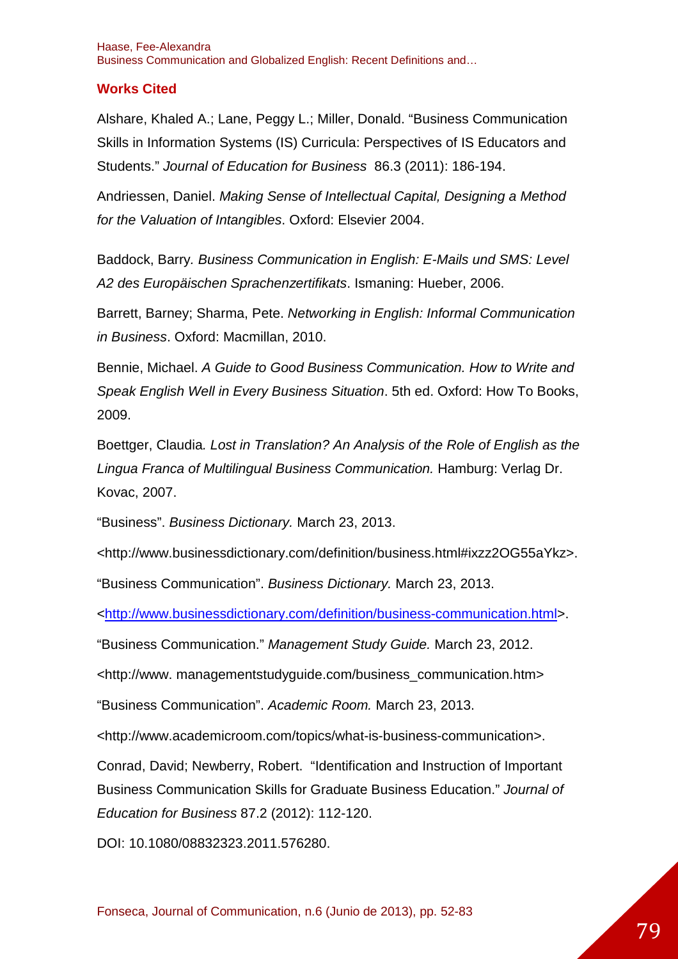### **Works Cited**

Alshare, Khaled A.; Lane, Peggy L.; Miller, Donald. "Business Communication Skills in Information Systems (IS) Curricula: Perspectives of IS Educators and Students." Journal of Education for Business 86.3 (2011): 186-194.

Andriessen, Daniel. Making Sense of Intellectual Capital, Designing a Method for the Valuation of Intangibles. Oxford: Elsevier 2004.

Baddock, Barry. Business Communication in English: E-Mails und SMS: Level A2 des Europäischen Sprachenzertifikats. Ismaning: Hueber, 2006.

Barrett, Barney; Sharma, Pete. Networking in English: Informal Communication in Business. Oxford: Macmillan, 2010.

Bennie, Michael. A Guide to Good Business Communication. How to Write and Speak English Well in Every Business Situation. 5th ed. Oxford: How To Books, 2009.

Boettger, Claudia. Lost in Translation? An Analysis of the Role of English as the Lingua Franca of Multilingual Business Communication. Hamburg: Verlag Dr. Kovac, 2007.

"Business". Business Dictionary. March 23, 2013.

<http://www.businessdictionary.com/definition/business.html#ixzz2OG55aYkz>.

"Business Communication". Business Dictionary. March 23, 2013.

<http://www.businessdictionary.com/definition/business-communication.html>.

"Business Communication." Management Study Guide. March 23, 2012.

<http://www. managementstudyguide.com/business\_communication.htm>

"Business Communication". Academic Room. March 23, 2013.

<http://www.academicroom.com/topics/what-is-business-communication>.

Conrad, David; Newberry, Robert. "Identification and Instruction of Important Business Communication Skills for Graduate Business Education." Journal of Education for Business 87.2 (2012): 112-120.

DOI: 10.1080/08832323.2011.576280.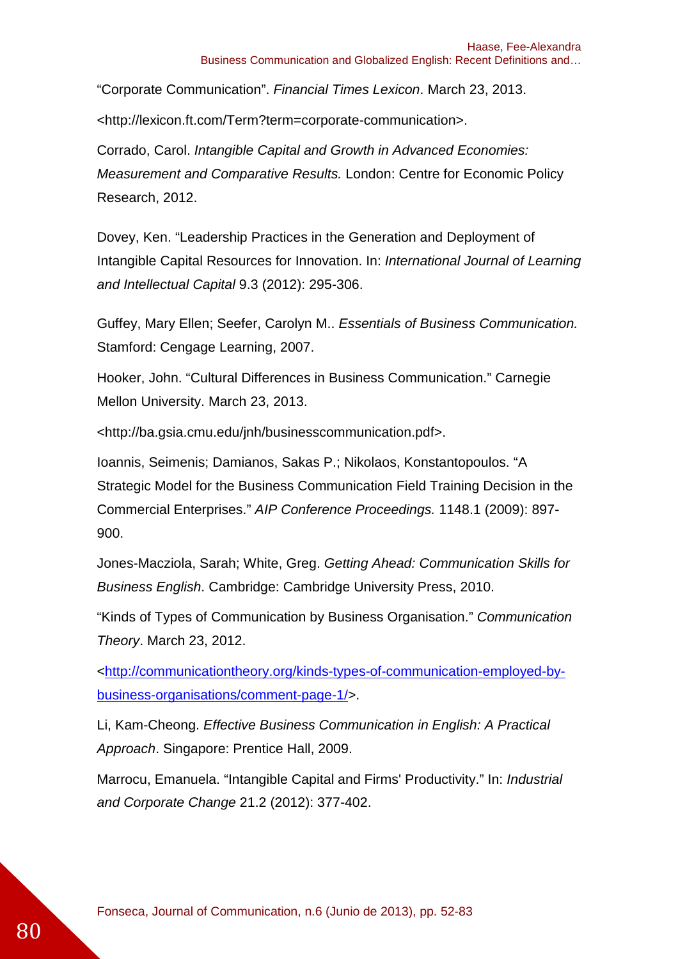"Corporate Communication". Financial Times Lexicon. March 23, 2013.

<http://lexicon.ft.com/Term?term=corporate-communication>.

Corrado, Carol. Intangible Capital and Growth in Advanced Economies: Measurement and Comparative Results. London: Centre for Economic Policy Research, 2012.

Dovey, Ken. "Leadership Practices in the Generation and Deployment of Intangible Capital Resources for Innovation. In: International Journal of Learning and Intellectual Capital 9.3 (2012): 295-306.

Guffey, Mary Ellen; Seefer, Carolyn M.. Essentials of Business Communication. Stamford: Cengage Learning, 2007.

Hooker, John. "Cultural Differences in Business Communication." Carnegie Mellon University. March 23, 2013.

<http://ba.gsia.cmu.edu/jnh/businesscommunication.pdf>.

Ioannis, Seimenis; Damianos, Sakas P.; Nikolaos, Konstantopoulos. "A Strategic Model for the Business Communication Field Training Decision in the Commercial Enterprises." AIP Conference Proceedings. 1148.1 (2009): 897- 900.

Jones-Macziola, Sarah; White, Greg. Getting Ahead: Communication Skills for Business English. Cambridge: Cambridge University Press, 2010.

"Kinds of Types of Communication by Business Organisation." Communication Theory. March 23, 2012.

<http://communicationtheory.org/kinds-types-of-communication-employed-bybusiness-organisations/comment-page-1/>.

Li, Kam-Cheong. Effective Business Communication in English: A Practical Approach. Singapore: Prentice Hall, 2009.

Marrocu, Emanuela. "Intangible Capital and Firms' Productivity." In: Industrial and Corporate Change 21.2 (2012): 377-402.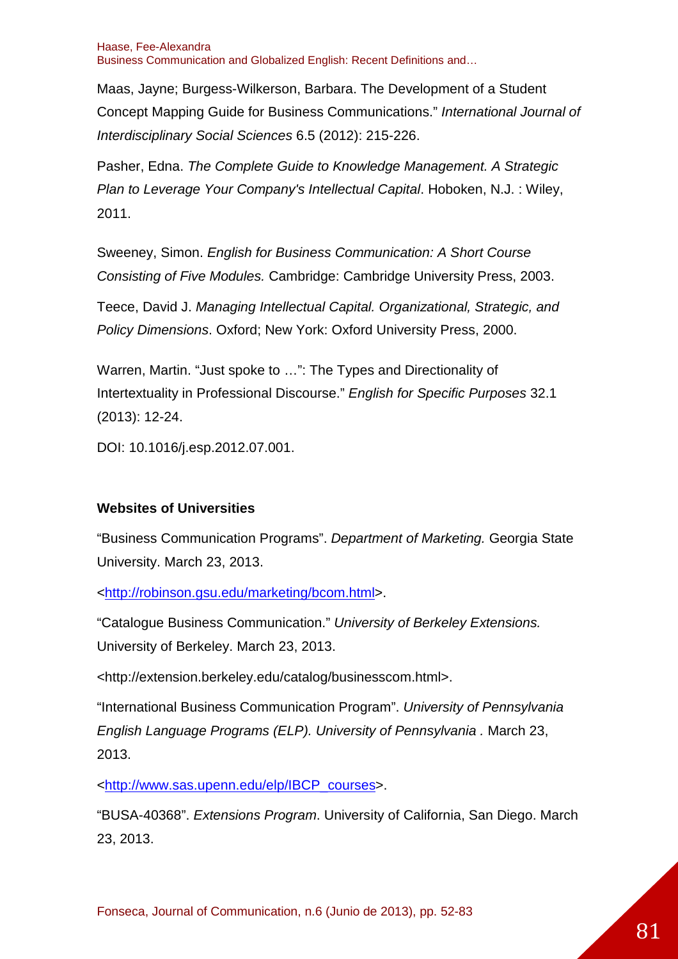Maas, Jayne; Burgess-Wilkerson, Barbara. The Development of a Student Concept Mapping Guide for Business Communications." International Journal of Interdisciplinary Social Sciences 6.5 (2012): 215-226.

Pasher, Edna. The Complete Guide to Knowledge Management. A Strategic Plan to Leverage Your Company's Intellectual Capital. Hoboken, N.J. : Wiley, 2011.

Sweeney, Simon. English for Business Communication: A Short Course Consisting of Five Modules. Cambridge: Cambridge University Press, 2003.

Teece, David J. Managing Intellectual Capital. Organizational, Strategic, and Policy Dimensions. Oxford; New York: Oxford University Press, 2000.

Warren, Martin. "Just spoke to …": The Types and Directionality of Intertextuality in Professional Discourse." English for Specific Purposes 32.1 (2013): 12-24.

DOI: 10.1016/j.esp.2012.07.001.

### **Websites of Universities**

"Business Communication Programs". Department of Marketing. Georgia State University. March 23, 2013.

<http://robinson.gsu.edu/marketing/bcom.html>.

"Catalogue Business Communication." University of Berkeley Extensions. University of Berkeley. March 23, 2013.

<http://extension.berkeley.edu/catalog/businesscom.html>.

"International Business Communication Program". University of Pennsylvania English Language Programs (ELP). University of Pennsylvania . March 23, 2013.

<http://www.sas.upenn.edu/elp/IBCP\_courses>.

"BUSA-40368". Extensions Program. University of California, San Diego. March 23, 2013.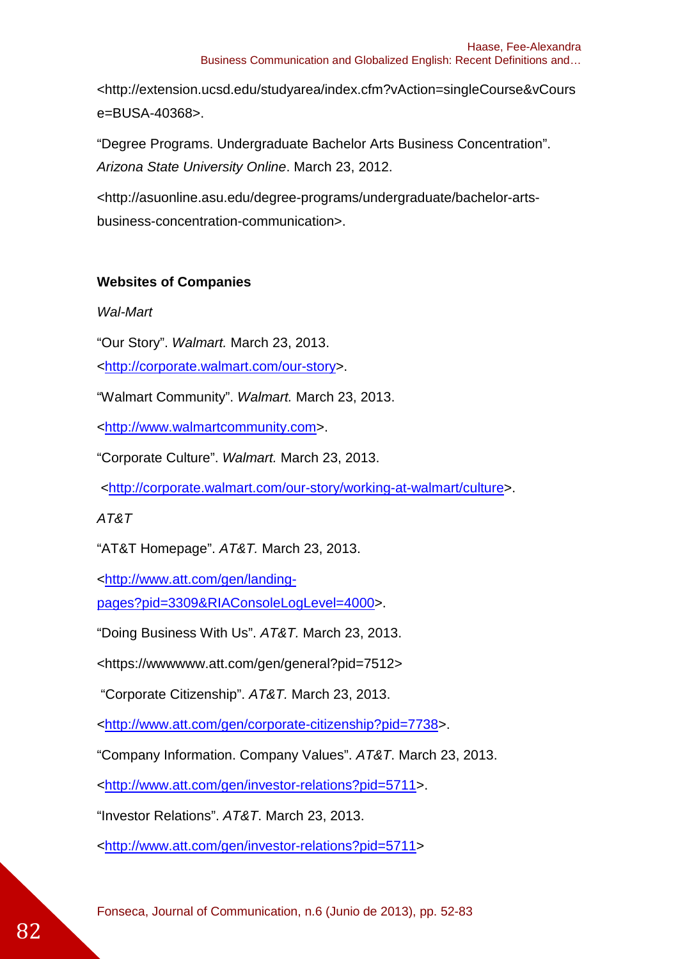<http://extension.ucsd.edu/studyarea/index.cfm?vAction=singleCourse&vCours e=BUSA-40368>.

"Degree Programs. Undergraduate Bachelor Arts Business Concentration". Arizona State University Online. March 23, 2012.

<http://asuonline.asu.edu/degree-programs/undergraduate/bachelor-artsbusiness-concentration-communication>.

### **Websites of Companies**

### Wal-Mart

"Our Story". Walmart. March 23, 2013.

<http://corporate.walmart.com/our-story>.

"Walmart Community". Walmart. March 23, 2013.

<http://www.walmartcommunity.com>.

"Corporate Culture". Walmart. March 23, 2013.

<http://corporate.walmart.com/our-story/working-at-walmart/culture>.

### AT&T

"AT&T Homepage". AT&T. March 23, 2013.

<http://www.att.com/gen/landing-

pages?pid=3309&RIAConsoleLogLevel=4000>.

"Doing Business With Us". AT&T. March 23, 2013.

<https://wwwwww.att.com/gen/general?pid=7512>

"Corporate Citizenship". AT&T. March 23, 2013.

<http://www.att.com/gen/corporate-citizenship?pid=7738>.

"Company Information. Company Values". AT&T. March 23, 2013.

<http://www.att.com/gen/investor-relations?pid=5711>.

"Investor Relations". AT&T. March 23, 2013.

<http://www.att.com/gen/investor-relations?pid=5711>